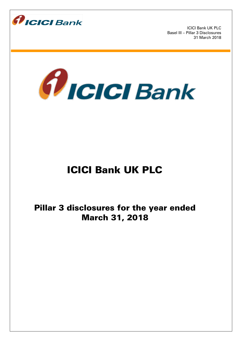



# ICICI Bank UK PLC

Pillar 3 disclosures for the year ended March 31, 2018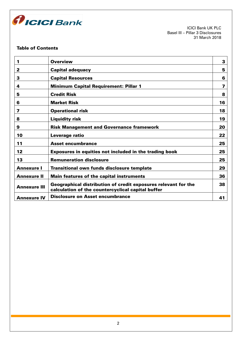

# Table of Contents

| 1                   | <b>Overview</b>                                                                                                     | 3  |
|---------------------|---------------------------------------------------------------------------------------------------------------------|----|
| 2                   | <b>Capital adequacy</b>                                                                                             | 5  |
| 3                   | <b>Capital Resources</b>                                                                                            | 6  |
| 4                   | <b>Minimum Capital Requirement: Pillar 1</b>                                                                        | 7  |
| 5                   | <b>Credit Risk</b>                                                                                                  | 8  |
| 6                   | <b>Market Risk</b>                                                                                                  | 16 |
| 7                   | <b>Operational risk</b>                                                                                             | 18 |
| 8                   | <b>Liquidity risk</b>                                                                                               | 19 |
| 9                   | <b>Risk Management and Governance framework</b>                                                                     | 20 |
| 10                  | Leverage ratio                                                                                                      | 22 |
| 11                  | <b>Asset encumbrance</b>                                                                                            | 25 |
| 12                  | <b>Exposures in equities not included in the trading book</b>                                                       | 25 |
| 13                  | <b>Remuneration disclosure</b>                                                                                      | 25 |
| <b>Annexure I</b>   | <b>Transitional own funds disclosure template</b>                                                                   | 29 |
| <b>Annexure II</b>  | <b>Main features of the capital instruments</b>                                                                     | 36 |
| <b>Annexure III</b> | Geographical distribution of credit exposures relevant for the<br>calculation of the countercyclical capital buffer | 38 |
| <b>Annexure IV</b>  | <b>Disclosure on Asset encumbrance</b>                                                                              | 41 |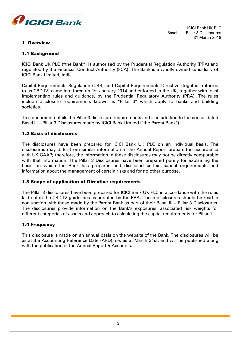

# 1. Overview

ICICI Bank UK PLC Basel III – Pillar 3 Disclosures 31 March 2018

# 1.1 Background

ICICI Bank UK PLC ("the Bank") is authorised by the Prudential Regulation Authority (PRA) and regulated by the Financial Conduct Authority (FCA). The Bank is a wholly owned subsidiary of ICICI Bank Limited, India.

Capital Requirements Regulation (CRR) and Capital Requirements Directive (together referred to as CRD IV) came into force on 1st January 2014 and enforced in the UK, together with local implementing rules and guidance, by the Prudential Regulatory Authority (PRA). The rules include disclosure requirements known as "Pillar 3" which apply to banks and building societies.

This document details the Pillar 3 disclosure requirements and is in addition to the consolidated Basel III – Pillar 3 Disclosures made by ICICI Bank Limited ("the Parent Bank").

# 1.2 Basis of disclosures

The disclosures have been prepared for ICICI Bank UK PLC on an individual basis. The disclosures may differ from similar information in the Annual Report prepared in accordance with UK GAAP; therefore, the information in these disclosures may not be directly comparable with that information. The Pillar 3 Disclosures have been prepared purely for explaining the basis on which the Bank has prepared and disclosed certain capital requirements and information about the management of certain risks and for no other purpose.

# 1.3 Scope of application of Directive requirements

The Pillar 3 disclosures have been prepared for ICICI Bank UK PLC in accordance with the rules laid out in the CRD IV guidelines as adopted by the PRA. These disclosures should be read in conjunction with those made by the Parent Bank as part of their Basel III – Pillar 3 Disclosures. The disclosures provide information on the Bank's exposures, associated risk weights for different categories of assets and approach to calculating the capital requirements for Pillar 1.

# 1.4 Frequency

This disclosure is made on an annual basis on the website of the Bank. The disclosures will be as at the Accounting Reference Date (ARD), i.e. as at March 31st, and will be published along with the publication of the Annual Report & Accounts.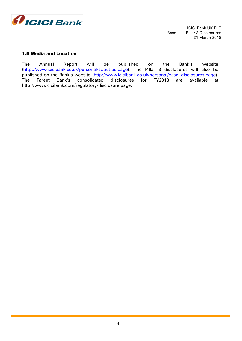

# 1.5 Media and Location

The Annual Report will be published on the Bank's website (http://www.icicibank.co.uk/personal/about-us.page). The Pillar 3 disclosures will also be published on the Bank's website (http://www.icicibank.co.uk/personal/basel-disclosures.page). The Parent Bank's consolidated disclosures for FY2018 are available at [http://www.icicibank.com/regulatory-disclosure.page.](http://www.icicibank.com/regulatory-disclosure.page)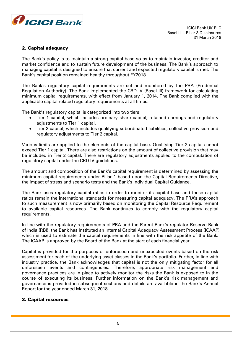

# 2. Capital adequacy

The Bank's policy is to maintain a strong capital base so as to maintain investor, creditor and market confidence and to sustain future development of the business. The Bank's approach to managing capital is designed to ensure that current and expected regulatory capital is met. The Bank's capital position remained healthy throughout FY2018.

The Bank's regulatory capital requirements are set and monitored by the PRA (Prudential Regulation Authority). The Bank implemented the CRD IV (Basel III) framework for calculating minimum capital requirements, with effect from January 1, 2014. The Bank complied with the applicable capital related regulatory requirements at all times.

The Bank's regulatory capital is categorized into two tiers:

- Tier 1 capital, which includes ordinary share capital, retained earnings and regulatory adjustments to Tier 1 capital.
- Tier 2 capital, which includes qualifying subordinated liabilities, collective provision and regulatory adjustments to Tier 2 capital.

Various limits are applied to the elements of the capital base. Qualifying Tier 2 capital cannot exceed Tier 1 capital. There are also restrictions on the amount of collective provision that may be included in Tier 2 capital. There are regulatory adjustments applied to the computation of regulatory capital under the CRD IV guidelines.

The amount and composition of the Bank's capital requirement is determined by assessing the minimum capital requirements under Pillar 1 based upon the Capital Requirements Directive, the impact of stress and scenario tests and the Bank's Individual Capital Guidance.

The Bank uses regulatory capital ratios in order to monitor its capital base and these capital ratios remain the international standards for measuring capital adequacy. The PRA's approach to such measurement is now primarily based on monitoring the Capital Resource Requirement to available capital resources. The Bank continues to comply with the regulatory capital requirements.

In line with the regulatory requirements of PRA and the Parent Bank's regulator Reserve Bank of India (RBI), the Bank has instituted an Internal Capital Adequacy Assessment Process (ICAAP) which is used to estimate the capital requirements in line with the risk appetite of the Bank. The ICAAP is approved by the Board of the Bank at the start of each financial year.

Capital is provided for the purposes of unforeseen and unexpected events based on the risk assessment for each of the underlying asset classes in the Bank's portfolio. Further, in line with industry practice, the Bank acknowledges that capital is not the only mitigating factor for all unforeseen events and contingencies. Therefore, appropriate risk management and governance practices are in place to actively monitor the risks the Bank is exposed to in the course of executing its business. Further information on the Bank's risk management and governance is provided in subsequent sections and details are available in the Bank's Annual Report for the year ended March 31, 2018.

# 3. Capital resources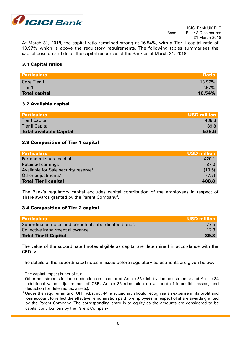

At March 31, 2018, the capital ratio remained strong at 16.54%, with a Tier 1 capital ratio of 13.97% which is above the regulatory requirements. The following tables summarises the capital position and detail the capital resources of the Bank as at March 31, 2018.

# 3.1 Capital ratios

| <b>Particulars</b>   | <b>Ratio</b> |
|----------------------|--------------|
| Core Tier 1          | $13.97\%$    |
| Tier 1               | $2.57\%$     |
| <b>Total capital</b> | 16.54%       |

# 3.2 Available capital

| <b>Particulars</b>             | <b>USD million</b> |
|--------------------------------|--------------------|
| <b>Tier I Capital</b>          | 488.8              |
| <b>Tier II Capital</b>         | 89.8               |
| <b>Total available Capital</b> | 578.6              |

## 3.3 Composition of Tier 1 capital

| <b>Particulars</b>                               | USD million |
|--------------------------------------------------|-------------|
| Permanent share capital                          | 420.1       |
| <b>Retained earnings</b>                         | 87.0        |
| Available for Sale security reserve <sup>1</sup> | (10.5)      |
| Other adjustments <sup>2</sup>                   | (7.7)       |
| <b>Total Tier I capital</b>                      | 488.8       |

The Bank's regulatory capital excludes capital contribution of the employees in respect of share awards granted by the Parent Company $^3\!$ .

# 3.4 Composition of Tier 2 capital

| <b>Particulars</b>                                  | <b>USD million</b> |
|-----------------------------------------------------|--------------------|
| Subordinated notes and perpetual subordinated bonds | 77.5               |
| Collective impairment allowance                     | 12.3               |
| <b>Total Tier II Capital</b>                        | 89.8               |

The value of the subordinated notes eligible as capital are determined in accordance with the CRD IV.

The details of the subordinated notes in issue before regulatory adjustments are given below:

1

 $^1$  The capital impact is net of tax

 $2$  Other adjustments include deduction on account of Article 33 (debit value adjustments) and Article 34 (additional value adjustments) of CRR, Article 36 (deduction on account of intangible assets, and deduction for deferred tax assets).

 $3$  Under the requirements of UITF Abstract 44, a subsidiary should recognise an expense in its profit and loss account to reflect the effective remuneration paid to employees in respect of share awards granted by the Parent Company. The corresponding entry is to equity as the amounts are considered to be capital contributions by the Parent Company.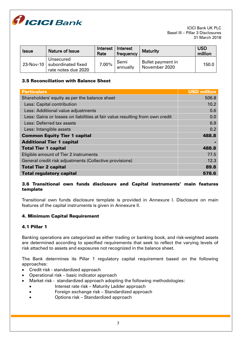

| <b>Issue</b> | Nature of Issue                                        | <b>Interest</b><br>Rate | Interest<br>frequency | <b>Maturity</b>                    | <b>USD</b><br>million |
|--------------|--------------------------------------------------------|-------------------------|-----------------------|------------------------------------|-----------------------|
| 23-Nov-10    | Unsecured<br>subordinated fixed<br>rate notes due 2020 | 7.00%                   | Semi<br>annually      | Bullet payment in<br>November 2020 | 150.0                 |

# 3.5 Reconciliation with Balance Sheet

| <b>Particulars</b>                                                           | <b>USD million</b> |
|------------------------------------------------------------------------------|--------------------|
| Shareholders' equity as per the balance sheet                                | 506.8              |
| Less: Capital contribution                                                   | 10.2               |
| Less: Additional value adjustments                                           | 0.6                |
| Less: Gains or losses on liabilities at fair value resulting from own credit | 0.0                |
| Less: Deferred tax assets                                                    | 6.9                |
| Less: Intangible assets                                                      | 0.2                |
| <b>Common Equity Tier 1 capital</b>                                          | 488.8              |
| <b>Additional Tier 1 capital</b>                                             |                    |
| <b>Total Tier 1 capital</b>                                                  | 488.8              |
| Eligible amount of Tier 2 instruments                                        | 77.5               |
| General credit risk adjustments (Collective provisions)                      | 12.3               |
| <b>Total Tier 2 capital</b>                                                  | 89.8               |
| <b>Total regulatory capital</b>                                              | 578.6              |

# 3.6 Transitional own funds disclosure and Capital instruments' main features template

Transitional own funds disclosure template is provided in Annexure I. Disclosure on main features of the capital instruments is given in Annexure II.

# 4. Minimum Capital Requirement

# 4.1 Pillar 1

Banking operations are categorized as either trading or banking book, and risk-weighted assets are determined according to specified requirements that seek to reflect the varying levels of risk attached to assets and exposures not recognized in the balance sheet.

The Bank determines its Pillar 1 regulatory capital requirement based on the following approaches:

- Credit risk standardized approach
- Operational risk basic indicator approach
- Market risk standardized approach adopting the following methodologies:
	- Interest rate risk Maturity Ladder approach
	- Foreign exchange risk Standardized approach
	- Options risk Standardized approach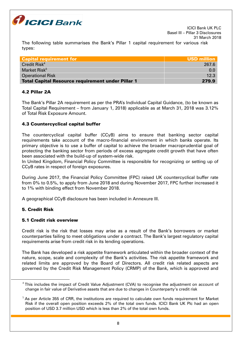

The following table summarises the Bank's Pillar 1 capital requirement for various risk types:

| <b>Capital requirement for</b>                           | <b>USD million</b> |
|----------------------------------------------------------|--------------------|
| Credit Risk <sup>4</sup>                                 | 267.6              |
| Market Risk <sup>5</sup>                                 | 0.0                |
| <b>Operational Risk</b>                                  | 12.3               |
| <b>Total Capital Resource requirement under Pillar 1</b> | 279.9              |

# 4.2 Pillar 2A

The Bank's Pillar 2A requirement as per the PRA's Individual Capital Guidance, (to be known as Total Capital Requirement – from January 1, 2018) applicable as at March 31, 2018 was 3.12% of Total Risk Exposure Amount.

# 4.3 Countercyclical capital buffer

The countercyclical capital buffer (CCyB) aims to ensure that banking sector capital requirements take account of the macro-financial environment in which banks operate. Its primary objective is to use a buffer of capital to achieve the broader macroprudential goal of protecting the banking sector from periods of excess aggregate credit growth that have often been associated with the build-up of system-wide risk.

In United Kingdom, Financial Policy Committee is responsible for recognizing or setting up of CCyB rates in respect of foreign exposures.

During June 2017, the Financial Policy Committee (FPC) raised UK countercyclical buffer rate from 0% to 0.5%, to apply from June 2018 and during November 2017, FPC further increased it to 1% with binding effect from November 2018.

A geographical CCyB disclosure has been included in Annexure III.

# 5. Credit Risk

<u>.</u>

# 5.1 Credit risk overview

Credit risk is the risk that losses may arise as a result of the Bank's borrowers or market counterparties failing to meet obligations under a contract. The Bank's largest regulatory capital requirements arise from credit risk in its lending operations.

The Bank has developed a risk appetite framework articulated within the broader context of the nature, scope, scale and complexity of the Bank's activities. The risk appetite framework and related limits are approved by the Board of Directors. All credit risk related aspects are governed by the Credit Risk Management Policy (CRMP) of the Bank, which is approved and

 $^4$ This includes the impact of Credit Value Adjustment (CVA) to recognise the adjustment on account of change in fair value of Derivative assets that are due to changes in Counterparty's credit risk

 $<sup>5</sup>$  As per Article 355 of CRR, the institutions are required to calculate own funds requirement for Market</sup> Risk if the overall open position exceeds 2% of the total own funds. ICICI Bank UK Plc had an open position of USD 3.7 million USD which is less than 2% of the total own funds.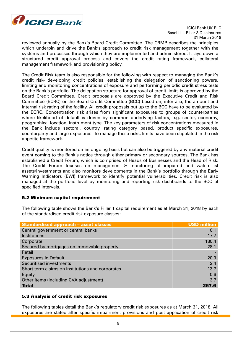

reviewed annually by the Bank's Board Credit Committee. The CRMP describes the principles which underpin and drive the Bank's approach to credit risk management together with the systems and processes through which they are implemented and administered. It lays down a structured credit approval process and covers the credit rating framework, collateral management framework and provisioning policy.

The Credit Risk team is also responsible for the following with respect to managing the Bank's credit risk- developing credit policies, establishing the delegation of sanctioning powers, limiting and monitoring concentrations of exposure and performing periodic credit stress tests on the Bank's portfolio. The delegation structure for approval of credit limits is approved by the Board Credit Committee. Credit proposals are approved by the Executive Credit and Risk Committee (ECRC) or the Board Credit Committee (BCC) based on, inter alia, the amount and internal risk rating of the facility. All credit proposals put up to the BCC have to be evaluated by the ECRC. Concentration risk arises from significant exposures to groups of counterparties where likelihood of default is driven by common underlying factors, e.g. sector, economy, geographical location, instrument type. The key parameters of risk concentrations measured in the Bank include sectoral, country, rating category based, product specific exposures, counterparty and large exposures. To manage these risks, limits have been stipulated in the risk appetite framework.

Credit quality is monitored on an ongoing basis but can also be triggered by any material credit event coming to the Bank's notice through either primary or secondary sources. The Bank has established a Credit Forum, which is comprised of Heads of Businesses and the Head of Risk. The Credit Forum focuses on management & monitoring of impaired and watch list assets/investments and also monitors developments in the Bank's portfolio through the Early Warning Indicators (EWI) framework to identify potential vulnerabilities. Credit risk is also managed at the portfolio level by monitoring and reporting risk dashboards to the BCC at specified intervals.

# 5.2 Minimum capital requirement

The following table shows the Bank's Pillar 1 capital requirement as at March 31, 2018 by each of the standardised credit risk exposure classes:

| <b>Standardised approach - asset classes</b>     | <b>USD million</b> |
|--------------------------------------------------|--------------------|
| Central government or central banks              | 0.1                |
| Institutions                                     | 17.7               |
| Corporate                                        | 180.4              |
| Secured by mortgages on immovable property       | 28.1               |
| Retail                                           |                    |
| <b>Exposures in Default</b>                      | 20.9               |
| <b>Securitised investments</b>                   | 2.4                |
| Short term claims on institutions and corporates | 13.7               |
| Equity                                           | 0.6                |
| Other items (including CVA adjustment)           | 3.7                |
| <b>Total</b>                                     | 267.6              |

# 5.3 Analysis of credit risk exposures

The following tables detail the Bank's regulatory credit risk exposures as at March 31, 2018. All exposures are stated after specific impairment provisions and post application of credit risk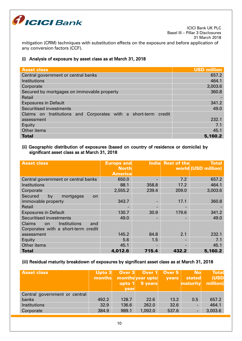

mitigation (CRM) techniques with substitution effects on the exposure and before application of any conversion factors (CCF).

# (i) Analysis of exposure by asset class as at March 31, 2018

| <b>Asset class</b>                                             | <b>USD million</b> |
|----------------------------------------------------------------|--------------------|
| Central government or central banks                            | 657.2              |
| Institutions                                                   | 464.1              |
| Corporate                                                      | 3,003.6            |
| Secured by mortgages on immovable property                     | 360.8              |
| Retail                                                         |                    |
| <b>Exposures in Default</b>                                    | 341.2              |
| Securitised investments                                        | 49.0               |
| Claims on Institutions and Corporates with a short-term credit |                    |
| assessment                                                     | 232.1              |
| Equity                                                         | 7.1                |
| Other items                                                    | 45.1               |
| <b>Total</b>                                                   | 5,160.2            |

# (ii) Geographic distribution of exposures (based on country of residence or domicile) by significant asset class as at March 31, 2018

| <b>Asset class</b>                         | <b>Europe and</b> | <b>India</b>             | <b>Rest of the</b> | <b>Total</b>        |
|--------------------------------------------|-------------------|--------------------------|--------------------|---------------------|
|                                            | <b>North</b>      |                          |                    | world (USD million) |
|                                            | <b>America</b>    |                          |                    |                     |
| Central government or central banks        | 650.0             |                          | 7.2                | 657.2               |
| Institutions                               | 88.1              | 358.8                    | 17.2               | 464.1               |
| Corporate                                  | 2,555.2           | 239.4                    | 209.0              | 3,003.6             |
| <b>Secured</b><br>by<br>mortgages<br>on.   |                   |                          |                    |                     |
| immovable property                         | 343.7             | $\overline{\phantom{a}}$ | 17.1               | 360.8               |
| Retail                                     |                   |                          |                    |                     |
| <b>Exposures in Default</b>                | 130.7             | 30.9                     | 179.6              | 341.2               |
| Securitised investments                    | 49.0              | $\overline{\phantom{0}}$ |                    | 49.0                |
| Claims<br>Institutions<br>and<br><b>on</b> |                   |                          |                    |                     |
| Corporates with a short-term credit        |                   |                          |                    |                     |
| assessment                                 | 145.2             | 84.8                     | 2.1                | 232.1               |
| Equity                                     | 5.6               | 1.5                      |                    | 7.1                 |
| Other items                                | 45.1              | $\overline{\phantom{0}}$ |                    | 45.1                |
| <b>Total</b>                               | 4,012.6           | 715.4                    | 432.2              | 5,160.2             |

# (iii) Residual maturity breakdown of exposures by significant asset class as at March 31, 2018

| <b>Asset class</b>            | Upto $3$<br>months | upto $1$<br>vear | Over 3 Over 1 Over 5<br>months year upto<br>5 years | <b>vears</b> | <b>No</b><br>stated<br>maturity | <b>Total</b><br>(USD<br>million) |
|-------------------------------|--------------------|------------------|-----------------------------------------------------|--------------|---------------------------------|----------------------------------|
| Central government or central |                    |                  |                                                     |              |                                 |                                  |
| banks                         | 492.2              | 128.7            | 22.6                                                | 13.2         | 0.5                             | 657.2                            |
| Institutions                  | 32.9               | 136.6            | 262.0                                               | 32.6         |                                 | 464.1                            |
| Corporate                     | 384.9              | 989.1            | 1,092.0                                             | 537.6        |                                 | 3,003.6                          |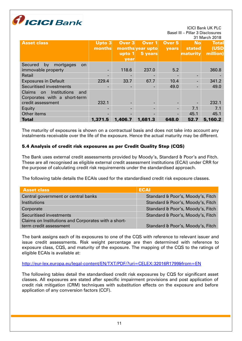

|                                            |         |                          |                  |              |                  | <b>JI IVIAIUIL ZU IO</b> |
|--------------------------------------------|---------|--------------------------|------------------|--------------|------------------|--------------------------|
| <b>Asset class</b>                         | Upto 3  | Over <sub>3</sub>        | Over 1           | Over 5       | <b>No</b>        | <b>Total</b>             |
|                                            | months  |                          | months year upto | <b>vears</b> | stated           | (USD                     |
|                                            |         | upto $1$                 | 5 years          |              | maturi <u>ty</u> | million)                 |
|                                            |         | year                     |                  |              |                  |                          |
| <b>Secured</b><br>mortgages<br>by<br>on    |         |                          |                  |              |                  |                          |
| immovable property                         |         | 118.6                    | 237.0            | 5.2          |                  | 360.8                    |
| Retail                                     |         |                          |                  |              |                  |                          |
| <b>Exposures in Default</b>                | 229.4   | 33.7                     | 67.7             | 10.4         |                  | 341.2                    |
| Securitised investments                    |         | $\overline{\phantom{a}}$ |                  | 49.0         |                  | 49.0                     |
| Institutions<br><b>Claims</b><br>and<br>on |         |                          |                  |              |                  |                          |
| Corporates with a short-term               |         |                          |                  |              |                  |                          |
| credit assessment                          | 232.1   |                          |                  |              |                  | 232.1                    |
| Equity                                     |         | -                        |                  |              | 7.1              | 7.1                      |
| Other items                                |         |                          |                  |              | 45.1             | 45.1                     |
| <b>Total</b>                               | 1,371.5 | 1,406.7                  | 1,681.3          | 648.0        | 52.7             | 5,160.2                  |

The maturity of exposures is shown on a contractual basis and does not take into account any instalments receivable over the life of the exposure. Hence the actual maturity may be different.

# 5.4 Analysis of credit risk exposures as per Credit Quality Step (CQS)

The Bank uses external credit assessments provided by Moody's, Standard & Poor's and Fitch. These are all recognised as eligible external credit assessment institutions (ECAI) under CRR for the purpose of calculating credit risk requirements under the standardised approach.

The following table details the ECAIs used for the standardised credit risk exposure classes.

| <b>Asset class</b>                                  | <b>ECAI</b>                       |
|-----------------------------------------------------|-----------------------------------|
| Central government or central banks                 | Standard & Poor's, Moody's, Fitch |
| Institutions                                        | Standard & Poor's, Moody's, Fitch |
| Corporate                                           | Standard & Poor's, Moody's, Fitch |
| Securitised investments                             | Standard & Poor's, Moody's, Fitch |
| Claims on Institutions and Corporates with a short- |                                   |
| term credit assessment                              | Standard & Poor's, Moody's, Fitch |

The bank assigns each of its exposures to one of the CQS with reference to relevant issuer and issue credit assessments. Risk weight percentage are then determined with reference to exposure class, CQS, and maturity of the exposure. The mapping of the CQS to the ratings of eligible ECAIs is available at:

#### <http://eur-lex.europa.eu/legal-content/EN/TXT/PDF/?uri=CELEX:32016R1799&from=EN>

The following tables detail the standardised credit risk exposures by CQS for significant asset classes. All exposures are stated after specific impairment provisions and post application of credit risk mitigation (CRM) techniques with substitution effects on the exposure and before application of any conversion factors (CCF).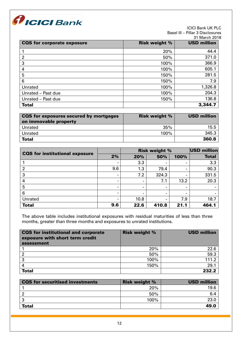

#### ICICI Bank UK PLC Basel III – Pillar 3 Disclosures 31555.<br>reh 2018.

|                                   |                      | 31 March 201       |
|-----------------------------------|----------------------|--------------------|
| <b>CQS</b> for corporate exposure | <b>Risk weight %</b> | <b>USD million</b> |
|                                   | 20%                  | 44.4               |
| $\overline{2}$                    | 50%                  | 371.0              |
| 3                                 | 100%                 | 366.9              |
| 4                                 | 100%                 | 605.1              |
| 5                                 | 150%                 | 281.5              |
| 6                                 | 150%                 | 7.9                |
| Unrated                           | 100%                 | 1,326.8            |
| Unrated - Past due                | 100%                 | 204.3              |
| Unrated - Past due                | 150%                 | 136.8              |
| <b>Total</b>                      |                      | 3,344.7            |

| CQS for exposures secured by mortgages<br>on immovable property | <b>Risk weight %</b> | <b>USD million</b> |
|-----------------------------------------------------------------|----------------------|--------------------|
| Unrated                                                         | 35%                  | 15.5               |
| Unrated                                                         | 100%                 | 345.3              |
| <b>Total</b>                                                    |                      | 360.8              |

|                                       |     | <b>Risk weight %</b> |       |      | <b>USD million</b> |
|---------------------------------------|-----|----------------------|-------|------|--------------------|
| <b>CQS</b> for institutional exposure | 2%  | 20%                  | 50%   | 100% | <b>Total</b>       |
|                                       |     | 3.3                  |       |      | 3.3                |
|                                       | 9.6 | 1.3                  | 79.4  |      | 90.3               |
| 3                                     |     | 7.2                  | 324.3 |      | 331.5              |
| 4                                     |     | $\blacksquare$       | 7.1   | 13.2 | 20.3               |
| 5                                     |     |                      |       |      |                    |
| 6                                     |     |                      | -     | -    |                    |
| <b>Unrated</b>                        |     | 10.8                 |       | 7.9  | 18.7               |
| <b>Total</b>                          | 9.6 | 22.6                 | 410.8 | 21.1 | 464.1              |

The above table includes institutional exposures with residual maturities of less than three months, greater than three months and exposures to unrated institutions.

| <b>CQS</b> for institutional and corporate<br>exposure with short term credit<br>assessment | <b>Risk weight %</b> | <b>USD million</b> |
|---------------------------------------------------------------------------------------------|----------------------|--------------------|
|                                                                                             | 20%                  | 22.6               |
|                                                                                             | 50%                  | 59.3               |
| າ                                                                                           | 100%                 | 111.2              |
|                                                                                             | 150%                 | 29.1               |
| <b>Total</b>                                                                                |                      | 232.2              |

| <b>CQS</b> for securitised investments | <b>Risk weight %</b> | <b>USD million</b> |
|----------------------------------------|----------------------|--------------------|
|                                        | 20%                  | 19.6               |
|                                        | 50%                  | 6.4                |
| ີ                                      | 100%                 | 23.0               |
| <b>Total</b>                           |                      | 49.0               |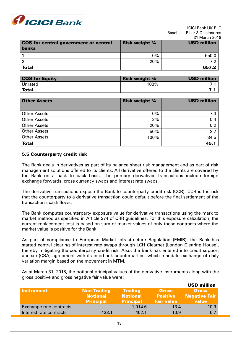

|                                              |                      | <b>JI MALUIZUR</b> |
|----------------------------------------------|----------------------|--------------------|
| <b>CQS</b> for central government or central | <b>Risk weight %</b> | <b>USD million</b> |
| <b>banks</b>                                 |                      |                    |
|                                              | $0\%$                | 650.0              |
|                                              | 20%                  |                    |
| <b>Total</b>                                 |                      | 657.2              |

| <b>CQS for Equity</b> | <b>Risk weight %</b> | <b>USD million</b> |
|-----------------------|----------------------|--------------------|
| Unrated               | 100%                 |                    |
| <b>Total</b>          |                      |                    |

| <b>Other Assets</b> | <b>Risk weight %</b> | <b>USD million</b> |
|---------------------|----------------------|--------------------|
| <b>Other Assets</b> | $0\%$                | 7.3                |
| <b>Other Assets</b> | 2%                   | 0.4                |
| <b>Other Assets</b> | 20%                  | 0.2                |
| <b>Other Assets</b> | 50%                  | 2.7                |
| <b>Other Assets</b> | 100%                 | 34.5               |
| <b>Total</b>        |                      | 45.1               |

# 5.5 Counterparty credit risk

The Bank deals in derivatives as part of its balance sheet risk management and as part of risk management solutions offered to its clients. All derivative offered to the clients are covered by the Bank on a back to back basis. The primary derivatives transactions include foreign exchange forwards, cross currency swaps and interest rate swaps.

The derivative transactions expose the Bank to counterparty credit risk (CCR). CCR is the risk that the counterparty to a derivative transaction could default before the final settlement of the transaction's cash flows.

The Bank computes counterparty exposure value for derivative transactions using the mark to market method as specified in Article 274 of CRR guidelines. For this exposure calculation, the current replacement cost is based on sum of market values of only those contracts where the market value is positive for the Bank.

As part of compliance to European Market Infrastructure Regulation (EMIR), the Bank has started central clearing of interest rate swaps through LCH Clearnet (London Clearing House), thereby mitigating the counterparty credit risk. Also, the Bank has entered into credit support annexe (CSA) agreement with its interbank counterparties, which mandate exchange of daily variation margin based on the movement in MTM.

As at March 31, 2018, the notional principal values of the derivative instruments along with the gross positive and gross negative fair value were:

|                         |                                                           |                                                       |                                                      | <b>USD million</b>                            |
|-------------------------|-----------------------------------------------------------|-------------------------------------------------------|------------------------------------------------------|-----------------------------------------------|
| <b>Instrument</b>       | <b>Non-Trading</b><br><b>Notional</b><br><b>Principal</b> | <b>Trading</b><br><b>Notional</b><br><b>Principal</b> | <b>Gross</b><br><b>Positive</b><br><b>Fair value</b> | <b>Gross</b><br><b>Negative Fair</b><br>value |
| Exchange rate contracts | $\blacksquare$                                            | 1,014.6                                               | 13.4                                                 | 10.9                                          |
| Interest rate contracts | 433.1                                                     | 402.1                                                 | 10.9                                                 | 6.7                                           |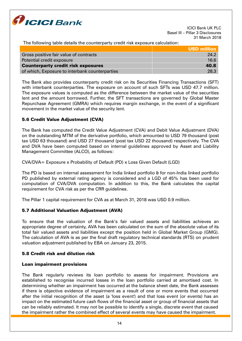

The following table details the counterparty credit risk exposure calculation:

|                                                | USD million |
|------------------------------------------------|-------------|
| Gross positive fair value of contracts         | 24.2        |
| Potential credit exposure                      | 16.6        |
| <b>Counterparty credit risk exposures</b>      | 40.8        |
| of which, Exposure to interbank counterparties | 28.3        |

The Bank also provides counterparty credit risk on its Securities Financing Transactions (SFT) with interbank counterparties. The exposure on account of such SFTs was USD 47.7 million. The exposure values is computed as the difference between the market value of the securities lent and the amount borrowed. Further, the SFT transactions are governed by Global Master Repurchase Agreement (GMRA) which requires margin exchange, in the event of a significant movement in the market value of the security lent.

# 5.6 Credit Value Adjustment (CVA)

The Bank has computed the Credit Value Adjustment (CVA) and Debit Value Adjustment (DVA) on the outstanding MTM of the derivative portfolio, which amounted to USD 79 thousand (post tax USD 63 thousand) and USD 27 thousand (post tax USD 22 thousand) respectively. The CVA and DVA have been computed based on internal guidelines approved by Asset and Liability Management Committee (ALCO), as follows:

CVA/DVA= Exposure x Probability of Default (PD) x Loss Given Default (LGD)

The PD is based on internal assessment for India linked portfolio & for non-India linked portfolio PD published by external rating agency is considered and a LGD of 45% has been used for computation of CVA/DVA computation. In addition to this, the Bank calculates the capital requirement for CVA risk as per the CRR guidelines.

The Pillar 1 capital requirement for CVA as at March 31, 2018 was USD 0.9 million.

# 5.7 Additional Valuation Adjustment (AVA)

To ensure that the valuation of the Bank's fair valued assets and liabilities achieves an appropriate degree of certainty, AVA has been calculated on the sum of the absolute value of its total fair valued assets and liabilities except the position held in Global Market Group (GMG). The calculation of AVA is as per the final draft regulatory technical standards (RTS) on prudent valuation adjustment published by EBA on January 23, 2015.

# 5.8 Credit risk and dilution risk

# Loan impairment provisions

The Bank regularly reviews its loan portfolio to assess for impairment. Provisions are established to recognise incurred losses in the loan portfolio carried at amortised cost. In determining whether an impairment has occurred at the balance sheet date, the Bank assesses if there is objective evidence of impairment as a result of one or more events that occurred after the initial recognition of the asset (a 'loss event') and that loss event (or events) has an impact on the estimated future cash flows of the financial asset or group of financial assets that can be reliably estimated. It may not be possible to identify a single, discrete event that caused the impairment rather the combined effect of several events may have caused the impairment.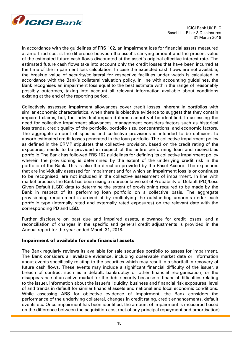

In accordance with the guidelines of FRS 102, an impairment loss for financial assets measured at amortized cost is the difference between the asset's carrying amount and the present value of the estimated future cash flows discounted at the asset's original effective interest rate. The estimated future cash flows take into account only the credit losses that have been incurred at the time of the impairment loss calculation. In case the expected cash flows are not available, the breakup value of security/collateral for respective facilities under watch is calculated in accordance with the Bank's collateral valuation policy. In line with accounting guidelines, the Bank recognises an impairment loss equal to the best estimate within the range of reasonably possibly outcomes, taking into account all relevant information available about conditions existing at the end of the reporting period.

Collectively assessed impairment allowances cover credit losses inherent in portfolios with similar economic characteristics, when there is objective evidence to suggest that they contain impaired claims, but, the individual impaired items cannot yet be identified. In assessing the need for collective impairment allowances, management considers factors such as historical loss trends, credit quality of the portfolio, portfolio size, concentrations, and economic factors. The aggregate amount of specific and collective provisions is intended to be sufficient to absorb estimated credit losses generated in the loan portfolio. The collective impairment policy as defined in the CRMP stipulates that collective provision, based on the credit rating of the exposures, needs to be provided in respect of the entire performing loan and receivables portfolio The Bank has followed FRS 102 guidelines for defining its collective impairment policy wherein the provisioning is determined by the extent of the underlying credit risk in the portfolio of the Bank. This is also the direction provided by the Basel Accord. The exposures that are individually assessed for impairment and for which an impairment loss is or continues to be recognised, are not included in the collective assessment of impairment. In line with market practice, the Bank has been using a representative set of Probability of Default (PD)/Loss Given Default (LGD) data to determine the extent of provisioning required to be made by the Bank in respect of its performing loan portfolio on a collective basis. The aggregate provisioning requirement is arrived at by multiplying the outstanding amounts under each portfolio type (internally rated and externally rated exposures) on the relevant date with the corresponding PD and LGD.

Further disclosure on past due and impaired assets, allowance for credit losses, and a reconciliation of changes in the specific and general credit adjustments is provided in the Annual report for the year ended March 31, 2018.

#### Impairment of available for sale financial assets

The Bank regularly reviews its available for sale securities portfolio to assess for impairment. The Bank considers all available evidence, including observable market data or information about events specifically relating to the securities which may result in a shortfall in recovery of future cash flows. These events may include a significant financial difficulty of the issuer, a breach of contract such as a default, bankruptcy or other financial reorganisation, or the disappearance of an active market for the debt security because of financial difficulties relating to the issuer, information about the issuer's liquidity, business and financial risk exposures, level of and trends in default for similar financial assets and national and local economic conditions. While assessing ABS for objective evidence of impairment, the Bank considers the performance of the underlying collateral, changes in credit rating, credit enhancements, default events etc. Once impairment has been identified, the amount of impairment is measured based on the difference between the acquisition cost (net of any principal repayment and amortisation)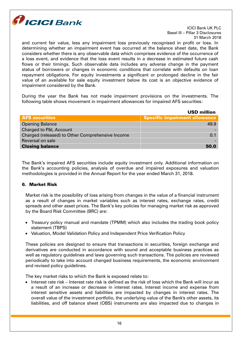

and current fair value, less any impairment loss previously recognised in profit or loss. In determining whether an impairment event has occurred at the balance sheet date, the Bank considers whether there is any observable data which comprises evidence of the occurrence of a loss event, and evidence that the loss event results in a decrease in estimated future cash flows or their timings. Such observable data includes any adverse change in the payment status of borrowers or changes in economic conditions that correlate with defaults on loan repayment obligations. For equity investments a significant or prolonged decline in the fair value of an available for sale equity investment below its cost is an objective evidence of impairment considered by the Bank.

During the year the Bank has not made impairment provisions on the investments. The following table shows movement in impairment allowances for impaired AFS securities:

|                                                  | <b>USD million</b>                   |
|--------------------------------------------------|--------------------------------------|
| <b>AFS securities</b>                            | <b>Specific impairment allowance</b> |
| <b>Opening Balance</b>                           | 49.9                                 |
| <b>Charged to P&amp;L Account</b>                |                                      |
| Charged (released) to Other Comprehensive Income | 0.1                                  |
| Reversal on sale                                 |                                      |
| <b>Closing balance</b>                           | 50.0                                 |

The Bank's impaired AFS securities include equity investment only. Additional information on the Bank's accounting policies, analysis of overdue and impaired exposures and valuation methodologies is provided in the Annual Report for the year ended March 31, 2018.

# 6. Market Risk

Market risk is the possibility of loss arising from changes in the value of a financial instrument as a result of changes in market variables such as interest rates, exchange rates, credit spreads and other asset prices. The Bank's key policies for managing market risk as approved by the Board Risk Committee (BRC) are:

- Treasury policy manual and mandate (TPMM) which also includes the trading book policy statement (TBPS)
- Valuation, Model Validation Policy and Independent Price Verification Policy

These policies are designed to ensure that transactions in securities, foreign exchange and derivatives are conducted in accordance with sound and acceptable business practices as well as regulatory guidelines and laws governing such transactions. The policies are reviewed periodically to take into account changed business requirements, the economic environment and revised policy guidelines.

The key market risks to which the Bank is exposed relate to:

 $\bullet$  Interest rate risk – Interest rate risk is defined as the risk of loss which the Bank will incur as a result of an increase or decrease in interest rates. Interest income and expense from interest sensitive assets and liabilities are impacted by changes in interest rates. The overall value of the investment portfolio, the underlying value of the Bank's other assets, its liabilities, and off balance sheet (OBS) instruments are also impacted due to changes in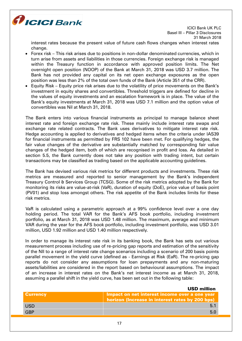

interest rates because the present value of future cash flows changes when interest rates change.

- Forex risk This risk arises due to positions in non-dollar denominated currencies, which in turn arise from assets and liabilities in those currencies. Foreign exchange risk is managed within the Treasury function in accordance with approved position limits. The Net overnight open position (NOOP) of the Bank at March 31, 2018 was USD 3.7 million. The Bank has not provided any capital on its net open exchange exposures as the open position was less than 2% of the total own funds of the Bank (Article 351 of the CRR).
- Equity Risk Equity price risk arises due to the volatility of price movements on the Bank's investment in equity shares and convertibles. Threshold triggers are defined for decline in the values of equity investments and an escalation framework is in place. The value of the Bank's equity investments at March 31, 2018 was USD 7.1 million and the option value of convertibles was Nil at March 31, 2018.

The Bank enters into various financial instruments as principal to manage balance sheet interest rate and foreign exchange rate risk. These mainly include interest rate swaps and exchange rate related contracts. The Bank uses derivatives to mitigate interest rate risk. Hedge accounting is applied to derivatives and hedged items when the criteria under IAS39 for financial instruments as permitted by FRS 102 have been met. For qualifying hedges, the fair value changes of the derivative are substantially matched by corresponding fair value changes of the hedged item, both of which are recognised in profit and loss. As detailed in section 5.5, the Bank currently does not take any position with trading intent, but certain transactions may be classified as trading based on the applicable accounting guidelines.

The Bank has devised various risk metrics for different products and investments. These risk metrics are measured and reported to senior management by the Bank's independent Treasury Control & Services Group (TCSG). Some of the risk metrics adopted by the Bank for monitoring its risks are value-at-risk (VaR), duration of equity (DoE), price value of basis point (PV01) and stop loss amongst others. The risk appetite of the Bank includes limits for these risk metrics.

VaR is calculated using a parametric approach at a 99% confidence level over a one day holding period. The total VAR for the Bank's AFS book portfolio, including investment portfolio, as at March 31, 2018 was USD 1.48 million. The maximum, average and minimum VAR during the year for the AFS book portfolio, including investment portfolio, was USD 3.01 million, USD 1.92 million and USD 1.40 million respectively.

In order to manage its interest rate risk in its banking book, the Bank has sets out various measurement process including use of re-pricing gap reports and estimation of the sensitivity of the NII to a range of interest rate change scenarios including a scenario of 200 basis points parallel movement in the yield curve (defined as - Earnings at Risk (EaR). The re-pricing gap reports do not consider any assumptions for loan prepayments and any non-maturing assets/liabilities are considered in the report based on behavioural assumptions. The impact of an increase in interest rates on the Bank's net interest income as at March 31, 2018, assuming a parallel shift in the yield curve, has been set out in the following table:

| <b>Currency</b> | Impact on net interest income over a one year<br>horizon (Increase in interest rates by 200 bps) |
|-----------------|--------------------------------------------------------------------------------------------------|
| <b>USD</b>      |                                                                                                  |
| <b>GBP</b>      | 5.0                                                                                              |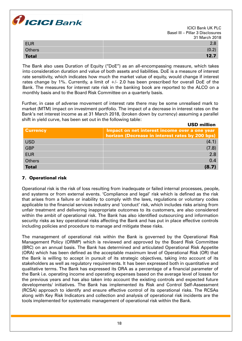

| <b>EUR</b>    |                                         |
|---------------|-----------------------------------------|
| <b>Others</b> | $\sim$<br>$\mathsf{U} \cdot \mathsf{Z}$ |
| <b>Total</b>  | 12.7                                    |

The Bank also uses Duration of Equity ("DoE") as an all-encompassing measure, which takes into consideration duration and value of both assets and liabilities. DoE is a measure of interest rate sensitivity, which indicates how much the market value of equity, would change if interest rates change by 1%. Currently, a limit of  $+/$ - 2.0 has been prescribed for overall DoE of the Bank. The measures for interest rate risk in the banking book are reported to the ALCO on a monthly basis and to the Board Risk Committee on a quarterly basis.

Further, in case of adverse movement of interest rate there may be some unrealised mark to market (MTM) impact on investment portfolio. The impact of a decrease in interest rates on the Bank's net interest income as at 31 March 2018, (broken down by currency) assuming a parallel shift in yield curve, has been set out in the following table: USD million

|                 | יוויווווי שטט                                                                                    |
|-----------------|--------------------------------------------------------------------------------------------------|
| <b>Currency</b> | Impact on net interest income over a one year<br>horizon (Decrease in interest rates by 200 bps) |
| <b>USD</b>      | (4.1)                                                                                            |
| <b>GBP</b>      | (7.8)                                                                                            |
| <b>EUR</b>      | 2.8                                                                                              |
| <b>Others</b>   | 0.4                                                                                              |
| <b>Total</b>    | (8.7)                                                                                            |

# 7. Operational risk

Operational risk is the risk of loss resulting from inadequate or failed internal processes, people, and systems or from external events. 'Compliance and legal' risk which is defined as the risk that arises from a failure or inability to comply with the laws, regulations or voluntary codes applicable to the financial services industry and 'conduct' risk, which includes risks arising from unfair treatment and delivering inappropriate outcomes to its customers, are also considered within the ambit of operational risk. The Bank has also identified outsourcing and information security risks as key operational risks affecting the Bank and has put in place effective controls including policies and procedure to manage and mitigate these risks.

The management of operational risk within the Bank is governed by the Operational Risk Management Policy (ORMP) which is reviewed and approved by the Board Risk Committee (BRC) on an annual basis. The Bank has determined and articulated Operational Risk Appetite (ORA) which has been defined as the acceptable maximum level of Operational Risk (OR) that the Bank is willing to accept in pursuit of its strategic objectives, taking into account of its stakeholders as well as regulatory requirements. It has been expressed both in quantitative and qualitative terms. The Bank has expressed its ORA as a percentage of a financial parameter of the Bank i.e. operating income and operating expenses based on the average level of losses for the previous years and has also taken into account the existing controls and expected future developments/ initiatives. The Bank has implemented its Risk and Control Self-Assessment (RCSA) approach to identify and ensure effective control of its operational risks. The RCSAs along with Key Risk Indicators and collection and analysis of operational risk incidents are the tools implemented for systematic management of operational risk within the Bank.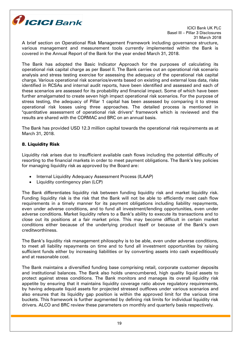

A brief section on Operational Risk Management Framework including governance structure, various management and measurement tools currently implemented within the Bank is covered in the Annual Report of the Bank for the year ended March 31, 2018.

The Bank has adopted the Basic Indicator Approach for the purposes of calculating its operational risk capital charge as per Basel II. The Bank carries out an operational risk scenario analysis and stress testing exercise for assessing the adequacy of the operational risk capital charge. Various operational risk scenarios/events based on existing and external loss data, risks identified in RCSAs and internal audit reports, have been identified and assessed and each of these scenarios are assessed for its probability and financial impact. Some of which have been further amalgamated to create seven high impact operational risk scenarios. For the purpose of stress testing, the adequacy of Pillar 1 capital has been assessed by comparing it to stress operational risk losses using three approaches. The detailed process is mentioned in "quantitative assessment of operational risk drivers" framework which is reviewed and the results are shared with the CORMAC and BRC on an annual basis.

The Bank has provided USD 12.3 million capital towards the operational risk requirements as at March 31, 2018.

# 8. Liquidity Risk

Liquidity risk arises due to insufficient available cash flows including the potential difficulty of resorting to the financial markets in order to meet payment obligations. The Bank's key policies for managing liquidity risk as approved by the Board are:

- Internal Liquidity Adequacy Assessment Process (ILAAP)
- Liquidity contingency plan (LCP)

The Bank differentiates liquidity risk between funding liquidity risk and market liquidity risk. Funding liquidity risk is the risk that the Bank will not be able to efficiently meet cash flow requirements in a timely manner for its payment obligations including liability repayments, even under adverse conditions, and to fund all investment/lending opportunities, even under adverse conditions. Market liquidity refers to a Bank's ability to execute its transactions and to close out its positions at a fair market price. This may become difficult in certain market conditions either because of the underlying product itself or because of the Bank's own creditworthiness.

The Bank's liquidity risk management philosophy is to be able, even under adverse conditions, to meet all liability repayments on time and to fund all investment opportunities by raising sufficient funds either by increasing liabilities or by converting assets into cash expeditiously and at reasonable cost.

The Bank maintains a diversified funding base comprising retail, corporate customer deposits and institutional balances. The Bank also holds unencumbered, high quality liquid assets to protect against stress conditions. The Bank monitors and manages its overall liquidity risk appetite by ensuring that it maintains liquidity coverage ratio above regulatory requirements, by having adequate liquid assets for projected stressed outflows under various scenarios and also ensures that its liquidity gap position is within the approved limit for the various time buckets. This framework is further augmented by defining risk limits for individual liquidity risk drivers. ALCO and BRC review these parameters on monthly and quarterly basis respectively.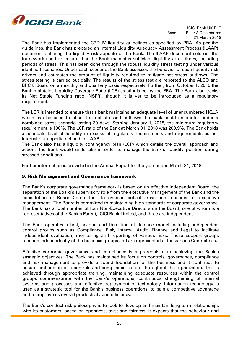

The Bank has implemented the CRD IV liquidity guidelines as specified by PRA. As per the guidelines, the Bank has prepared an Internal Liquidity Adequacy Assessment Process (ILAAP) document outlining the liquidity risk appetite of the Bank. The ILAAP document sets out the framework used to ensure that the Bank maintains sufficient liquidity at all times, including periods of stress. This has been done through the robust liquidity stress testing under various identified scenarios. Under each scenario, the Bank assesses the behavior of each liquidity risk drivers and estimates the amount of liquidity required to mitigate net stress outflows. The stress testing is carried out daily. The results of the stress test are reported to the ALCO and BRC & Board on a monthly and quarterly basis respectively. Further, from October 1, 2015 the Bank maintains Liquidity Coverage Ratio (LCR) as stipulated by the PRA. The Bank also tracks its Net Stable Funding ratio (NSFR), though it is yet to be introduced as a regulatory requirement.

The LCR is intended to ensure that a bank maintains an adequate level of unencumbered HQLA which can be used to offset the net stressed outflows the bank could encounter under a combined stress scenario lasting 30 days. Starting January 1, 2018, the minimum regulatory requirement is 100%. The LCR ratio of the Bank at March 31, 2018 was 203.9%. The Bank holds a adequate level of liquidity in excess of regulatory requirements and requirements as per internal risk appetite defined in ILAAP.

The Bank also has a liquidity contingency plan (LCP) which details the overall approach and actions the Bank would undertake in order to manage the Bank's liquidity position during stressed conditions.

Further information is provided in the Annual Report for the year ended March 31, 2018.

# 9. Risk Management and Governance framework

The Bank's corporate governance framework is based on an effective independent Board, the separation of the Board's supervisory role from the executive management of the Bank and the constitution of Board Committees to oversee critical areas and functions of executive management. The Board is committed to maintaining high standards of corporate governance. The Bank has a total number of four Non-Executive Directors on the Board, one of whom is a representatives of the Bank's Parent, ICICI Bank Limited, and three are independent.

The Bank operates a first, second and third line of defence model including independent control groups such as Compliance, Risk, Internal Audit, Finance and Legal to facilitate independent evaluation, monitoring and reporting of various risks. These support groups function independently of the business groups and are represented at the various Committees.

Effective corporate governance and compliance is a prerequisite to achieving the Bank's strategic objectives. The Bank has maintained its focus on controls, governance, compliance and risk management to provide a sound foundation for the business and it continues to ensure embedding of a controls and compliance culture throughout the organization. This is achieved through appropriate training, maintaining adequate resources within the control groups commensurate with the Bank's operations, continuous strengthening of internal systems and processes and effective deployment of technology. Information technology is used as a strategic tool for the Bank's business operations, to gain a competitive advantage and to improve its overall productivity and efficiency.

The Bank's conduct risk philosophy is to look to develop and maintain long term relationships with its customers, based on openness, trust and fairness. It expects that the behaviour and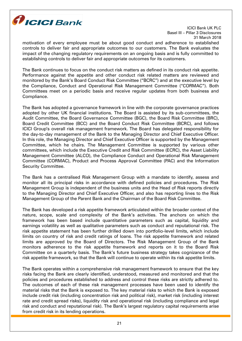

motivation of every employee must be about good conduct and adherence to established controls to deliver fair and appropriate outcomes to our customers. The Bank evaluates the impact of the changing regulatory requirements on an ongoing basis and is fully committed to establishing controls to deliver fair and appropriate outcomes for its customers.

The Bank continues to focus on the conduct risk matters as defined in its conduct risk appetite. Performance against the appetite and other conduct risk related matters are reviewed and monitored by the Bank's Board Conduct Risk Committee ("BCRC") and at the executive level by the Compliance, Conduct and Operational Risk Management Committee ("CORMAC"). Both Committees meet on a periodic basis and receive regular updates from both business and Compliance.

The Bank has adopted a governance framework in line with the corporate governance practices adopted by other UK financial institutions. The Board is assisted by its sub-committees, the Audit Committee, the Board Governance Committee (BGC), the Board Risk Committee (BRC), Board Credit Committee (BCC) and the Board Conduct Risk Committee (BCRC), and follows ICICI Group's overall risk management framework. The Board has delegated responsibility for the day-to-day management of the Bank to the Managing Director and Chief Executive Officer. In this role, the Managing Director and Chief Executive Officer is supported by the Management Committee, which he chairs. The Management Committee is supported by various other committees, which include the Executive Credit and Risk Committee (ECRC), the Asset Liability Management Committee (ALCO), the Compliance Conduct and Operational Risk Management Committee (CORMAC), Product and Process Approval Committee (PAC) and the Information Security Committee.

The Bank has a centralised Risk Management Group with a mandate to identify, assess and monitor all its principal risks in accordance with defined policies and procedures. The Risk Management Group is independent of the business units and the Head of Risk reports directly to the Managing Director and Chief Executive Officer, and also has reporting lines to the Risk Management Group of the Parent Bank and the Chairman of the Board Risk Committee.

The Bank has developed a risk appetite framework articulated within the broader context of the nature, scope, scale and complexity of the Bank's activities. The anchors on which the framework has been based include quantitative parameters such as capital, liquidity and earnings volatility as well as qualitative parameters such as conduct and reputational risk. The risk appetite statement has been further drilled down into portfolio-level limits, which include limits on country of risk and credit ratings of loans. The risk appetite framework and related limits are approved by the Board of Directors. The Risk Management Group of the Bank monitors adherence to the risk appetite framework and reports on it to the Board Risk Committee on a quarterly basis. The Bank's future business strategy takes cognizance of the risk appetite framework, so that the Bank will continue to operate within its risk appetite limits.

The Bank operates within a comprehensive risk management framework to ensure that the key risks facing the Bank are clearly identified, understood, measured and monitored and that the policies and procedures established to address and control these risks are strictly adhered to. The outcomes of each of these risk management processes have been used to identify the material risks that the Bank is exposed to. The key material risks to which the Bank is exposed include credit risk (including concentration risk and political risk), market risk (including interest rate and credit spread risks), liquidity risk and operational risk (including compliance and legal risk and conduct and reputational risk). The Bank's largest regulatory capital requirements arise from credit risk in its lending operations.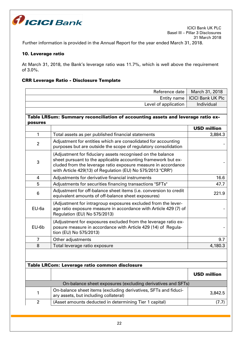

Further information is provided in the Annual Report for the year ended March 31, 2018.

# 10. Leverage ratio

At March 31, 2018, the Bank's leverage ratio was 11.7%, which is well above the requirement of 3.0%.

# CRR Leverage Ratio - Disclosure Template

|                                               | Reference date                                                                                                                                                                                                                                             | March 31, 2018           |  |
|-----------------------------------------------|------------------------------------------------------------------------------------------------------------------------------------------------------------------------------------------------------------------------------------------------------------|--------------------------|--|
|                                               | Entity name                                                                                                                                                                                                                                                | <b>ICICI Bank UK Plc</b> |  |
|                                               | Level of application                                                                                                                                                                                                                                       | Individual               |  |
|                                               |                                                                                                                                                                                                                                                            |                          |  |
| posures                                       | Table LRSum: Summary reconciliation of accounting assets and leverage ratio ex-                                                                                                                                                                            |                          |  |
|                                               |                                                                                                                                                                                                                                                            | <b>USD million</b>       |  |
| 1                                             | Total assets as per published financial statements                                                                                                                                                                                                         | 3,884.3                  |  |
| $\overline{2}$                                | Adjustment for entities which are consolidated for accounting<br>purposes but are outside the scope of regulatory consolidation                                                                                                                            |                          |  |
| 3                                             | (Adjustment for fiduciary assets recognised on the balance<br>sheet pursuant to the applicable accounting framework but ex-<br>cluded from the leverage ratio exposure measure in accordance<br>with Article 429(13) of Regulation (EU) No 575/2013 "CRR") |                          |  |
| 4                                             | Adjustments for derivative financial instruments                                                                                                                                                                                                           | 16.6                     |  |
| 5                                             | Adjustments for securities financing transactions "SFTs"                                                                                                                                                                                                   | 47.7                     |  |
| 6                                             | Adjustment for off-balance sheet items (i.e. conversion to credit<br>equivalent amounts of off-balance sheet exposures)                                                                                                                                    | 221.9                    |  |
| EU-6a                                         | (Adjustment for intragroup exposures excluded from the lever-<br>age ratio exposure measure in accordance with Article 429 (7) of<br>Regulation (EU) No 575/2013)                                                                                          |                          |  |
| EU-6b                                         | (Adjustment for exposures excluded from the leverage ratio ex-<br>posure measure in accordance with Article 429 (14) of Regula-<br>tion (EU) No 575/2013)                                                                                                  |                          |  |
| $\overline{7}$                                | Other adjustments                                                                                                                                                                                                                                          | 9.7                      |  |
| 8                                             | Total leverage ratio exposure                                                                                                                                                                                                                              | 4,180.3                  |  |
|                                               |                                                                                                                                                                                                                                                            |                          |  |
| Table LRCom: Leverage ratio common disclosure |                                                                                                                                                                                                                                                            |                          |  |
|                                               |                                                                                                                                                                                                                                                            | <b>USD million</b>       |  |
|                                               | On-balance sheet exposures (excluding derivatives and SFTs)                                                                                                                                                                                                |                          |  |
| 1                                             | On-balance sheet items (excluding derivatives, SFTs and fiduci-<br>ary assets, but including collateral)                                                                                                                                                   | 3,842.5                  |  |
| $\overline{2}$                                | (Asset amounts deducted in determining Tier 1 capital)                                                                                                                                                                                                     | (7.7)                    |  |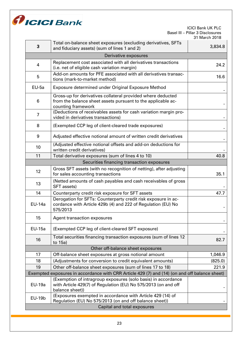

| 3                                                                                             | Total on-balance sheet exposures (excluding derivatives, SFTs<br>and fiduciary assets) (sum of lines 1 and 2)                                      | 3,834.8 |  |
|-----------------------------------------------------------------------------------------------|----------------------------------------------------------------------------------------------------------------------------------------------------|---------|--|
| Derivative exposures                                                                          |                                                                                                                                                    |         |  |
| 4                                                                                             | Replacement cost associated with all derivatives transactions<br>(i.e. net of eligible cash variation margin)                                      | 24.2    |  |
| 5                                                                                             | Add-on amounts for PFE associated with all derivatives transac-<br>tions (mark-to-market method)                                                   | 16.6    |  |
| $EU-5a$                                                                                       | Exposure determined under Original Exposure Method                                                                                                 |         |  |
| 6                                                                                             | Gross-up for derivatives collateral provided where deducted<br>from the balance sheet assets pursuant to the applicable ac-<br>counting framework  |         |  |
| $\overline{7}$                                                                                | (Deductions of receivables assets for cash variation margin pro-<br>vided in derivatives transactions)                                             |         |  |
| 8                                                                                             | (Exempted CCP leg of client-cleared trade exposures)                                                                                               |         |  |
| 9                                                                                             | Adjusted effective notional amount of written credit derivatives                                                                                   |         |  |
| 10                                                                                            | (Adjusted effective notional offsets and add-on deductions for<br>written credit derivatives)                                                      |         |  |
| 11                                                                                            | Total derivative exposures (sum of lines 4 to 10)                                                                                                  | 40.8    |  |
|                                                                                               | Securities financing transaction exposures                                                                                                         |         |  |
| 12                                                                                            | Gross SFT assets (with no recognition of netting), after adjusting<br>for sales accounting transactions                                            | 35.1    |  |
| 13                                                                                            | (Netted amounts of cash payables and cash receivables of gross<br>SFT assets)                                                                      |         |  |
| 14                                                                                            | Counterparty credit risk exposure for SFT assets                                                                                                   | 47.7    |  |
| <b>EU-14a</b>                                                                                 | Derogation for SFTs: Counterparty credit risk exposure in ac-<br>cordance with Article 429b (4) and 222 of Regulation (EU) No<br>575/2013          |         |  |
| 15                                                                                            | <b>Agent transaction exposures</b>                                                                                                                 |         |  |
| <b>EU-15a</b>                                                                                 | (Exempted CCP leg of client-cleared SFT exposure)                                                                                                  |         |  |
| 16                                                                                            | Total securities financing transaction exposures (sum of lines 12<br>to 15a)                                                                       | 82.7    |  |
| Other off-balance sheet exposures                                                             |                                                                                                                                                    |         |  |
| 17                                                                                            | Off-balance sheet exposures at gross notional amount                                                                                               | 1,046.9 |  |
| 18                                                                                            | (Adjustments for conversion to credit equivalent amounts)                                                                                          | (825.0) |  |
| 19                                                                                            | Other off-balance sheet exposures (sum of lines 17 to 18)                                                                                          | 221.9   |  |
| Exempted exposures in accordance with CRR Article 429 (7) and (14) (on and off balance sheet) |                                                                                                                                                    |         |  |
| <b>EU-19a</b>                                                                                 | (Exemption of intragroup exposures (solo basis) in accordance<br>with Article 429(7) of Regulation (EU) No 575/2013 (on and off<br>balance sheet)) |         |  |
| <b>EU-19b</b>                                                                                 | (Exposures exempted in accordance with Article 429 (14) of<br>Regulation (EU) No 575/2013 (on and off balance sheet))                              |         |  |
| Capital and total exposures                                                                   |                                                                                                                                                    |         |  |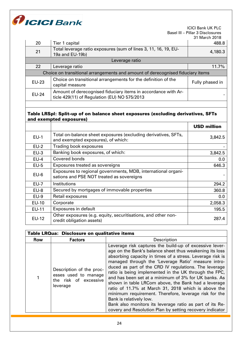

| 20                                                                             | Tier 1 capital                                                                                                | 488.8           |
|--------------------------------------------------------------------------------|---------------------------------------------------------------------------------------------------------------|-----------------|
| 21                                                                             | Total leverage ratio exposures (sum of lines 3, 11, 16, 19, EU-<br>19a and EU-19b)                            | 4,180.3         |
| Leverage ratio                                                                 |                                                                                                               |                 |
| 22                                                                             | Leverage ratio                                                                                                | 11.7%           |
| Choice on transitional arrangements and amount of derecognised fiduciary items |                                                                                                               |                 |
| <b>EU-23</b>                                                                   | Choice on transitional arrangements for the definition of the<br>capital measure                              | Fully phased in |
| <b>EU-24</b>                                                                   | Amount of derecognised fiduciary items in accordance with Ar-<br>ticle 429(11) of Regulation (EU) NO 575/2013 |                 |

# Table LRSpl: Split-up of on balance sheet exposures (excluding derivatives, SFTs and exempted exposures)

|              |                                                                                                            | <b>USD million</b> |
|--------------|------------------------------------------------------------------------------------------------------------|--------------------|
| $EU-1$       | Total on-balance sheet exposures (excluding derivatives, SFTs,<br>and exempted exposures), of which:       | 3,842.5            |
| $EU-2$       | Trading book exposures                                                                                     |                    |
| $EU-3$       | Banking book exposures, of which:                                                                          | 3,842.5            |
| $EU-4$       | Covered bonds                                                                                              | 0.0                |
| $EU-5$       | Exposures treated as sovereigns                                                                            | 646.3              |
| $EU-6$       | Exposures to regional governments, MDB, international organi-<br>sations and PSE NOT treated as sovereigns |                    |
| $EU-7$       | Institutions                                                                                               | 294.2              |
| $EU-8$       | Secured by mortgages of immovable properties                                                               | 360.8              |
| $EU-9$       | Retail exposures                                                                                           | 0.0                |
| <b>EU-10</b> | Corporate                                                                                                  | 2,058.3            |
| <b>EU-11</b> | Exposures in default                                                                                       | 195.5              |
| <b>EU-12</b> | Other exposures (e.g. equity, securitisations, and other non-<br>credit obligation assets)                 | 287.4              |

| Table LRQua: Disclosure on qualitative items |                                                                                       |                                                                                                                                                                                                                                                                                                                                                                                                                                                                                                                                                                                                                                                                                                                                            |  |
|----------------------------------------------|---------------------------------------------------------------------------------------|--------------------------------------------------------------------------------------------------------------------------------------------------------------------------------------------------------------------------------------------------------------------------------------------------------------------------------------------------------------------------------------------------------------------------------------------------------------------------------------------------------------------------------------------------------------------------------------------------------------------------------------------------------------------------------------------------------------------------------------------|--|
| Row                                          | <b>Factors</b>                                                                        | Description                                                                                                                                                                                                                                                                                                                                                                                                                                                                                                                                                                                                                                                                                                                                |  |
|                                              | Description of the proc-<br>esses used to manage<br>the risk of excessive<br>leverage | Leverage risk captures the build-up of excessive lever-<br>age on the Bank's balance sheet thus weakening its loss<br>absorbing capacity in times of a stress. Leverage risk is<br>managed through the 'Leverage Ratio' measure intro-<br>duced as part of the CRD IV regulations. The leverage<br>ratio is being implemented in the UK through the FPC,<br>and has been set at a minimum of 3% for UK banks. As<br>shown in table LRCom above, the Bank had a leverage<br>ratio of 11.7% at March 31, 2018 which is above the<br>minimum requirement. Therefore, leverage risk for the<br>Bank is relatively low.<br>Bank also monitors its leverage ratio as part of its Re-<br>covery and Resolution Plan by setting recovery indicator |  |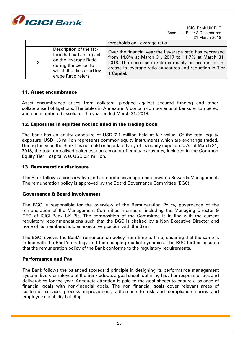

|             |                                                                                                                                                       | thresholds on Leverage ratio.                                                                                                                                                                                                                       |
|-------------|-------------------------------------------------------------------------------------------------------------------------------------------------------|-----------------------------------------------------------------------------------------------------------------------------------------------------------------------------------------------------------------------------------------------------|
| $2^{\circ}$ | Description of the fac-<br>tors that had an impact<br>on the leverage Ratio<br>during the period to<br>which the disclosed lev-<br>erage Ratio refers | Over the financial year the Leverage ratio has decreased<br>from 14.0% at March 31, 2017 to 11.7% at March 31,<br>2018. The decrease in ratio is mainly on account of in-<br>crease in leverage ratio exposures and reduction in Tier<br>1 Capital. |

# 11. Asset encumbrance

Asset encumbrance arises from collateral pledged against secured funding and other collateralised obligations. The tables in Annexure IV contain components of Banks encumbered and unencumbered assets for the year ended March 31, 2018.

# 12. Exposures in equities not included in the trading book

The bank has an equity exposure of USD 7.1 million held at fair value. Of the total equity exposure, USD 1.5 million represents common equity instruments which are exchange traded. During the year, the Bank has not sold or liquidated any of its equity exposures. As at March 31, 2018, the total unrealised gain/(loss) on account of equity exposures, included in the Common Equity Tier 1 capital was USD 0.4 million.

# 13. Remuneration disclosure

The Bank follows a conservative and comprehensive approach towards Rewards Management. The remuneration policy is approved by the Board Governance Committee (BGC).

# Governance & Board involvement

The BGC is responsible for the overview of the Remuneration Policy, governance of the remuneration of the Management Committee members, including the Managing Director & CEO of ICICI Bank UK Plc. The composition of the Committee is in line with the current regulatory recommendations such that the BGC is chaired by a Non Executive Director and none of its members hold an executive position with the Bank.

The BGC reviews the Bank's remuneration policy from time to time, ensuring that the same is in line with the Bank's strategy and the changing market dynamics. The BGC further ensures that the remuneration policy of the Bank conforms to the regulatory requirements.

# Performance and Pay

The Bank follows the balanced scorecard principle in designing its performance management system. Every employee of the Bank adopts a goal sheet, outlining his / her responsibilities and deliverables for the year. Adequate attention is paid to the goal sheets to ensure a balance of financial goals with non-financial goals. The non financial goals cover relevant areas of customer service, process improvement, adherence to risk and compliance norms and employee capability building.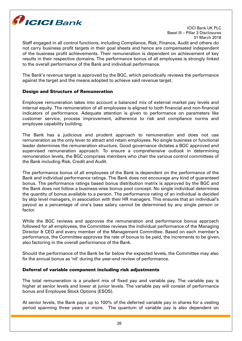

Staff engaged in all control functions, including Compliance, Risk, Finance, Audit and others do not carry business profit targets in their goal sheets and hence are compensated independent of the business profit achievements. Their remuneration is dependent on achievement of key results in their respective domains. The performance bonus of all employees is strongly linked to the overall performance of the Bank and individual performance.

The Bank's revenue target is approved by the BGC, which periodically reviews the performance against the target and the means adopted to achieve said revenue target.

# Design and Structure of Remuneration

Employee remuneration takes into account a balanced mix of external market pay levels and internal equity. The remuneration of all employees is aligned to both financial and non-financial indicators of performance. Adequate attention is given to performance on parameters like customer service, process improvement, adherence to risk and compliance norms and employee capability building.

The Bank has a judicious and prudent approach to remuneration and does not use remuneration as the only lever to attract and retain employees. No single business or functional leader determines the remuneration structure. Good governance dictates a BGC approved and supervised remuneration approach. To ensure a comprehensive outlook in determining remuneration levels, the BGC comprises members who chair the various control committees of the Bank including Risk, Credit and Audit.

The performance bonus of all employees of the Bank is dependent on the performance of the Bank and individual performance ratings. The Bank does not encourage any kind of guaranteed bonus. The performance ratings based bonus distribution matrix is approved by the BGC and the Bank does not follow a business-wise bonus pool concept. No single individual determines the quantity of bonus available to a person. The performance rating of an individual is decided by skip level managers, in association with their HR managers. This ensures that an individual's payout as a percentage of one's base salary cannot be determined by any single person or factor.

While the BGC reviews and approves the remuneration and performance bonus approach followed for all employees, the Committee reviews the individual performance of the Managing Director & CEO and every member of the Management Committee. Based on each member's performance, the Committee approves the rate of bonus to be paid, the increments to be given, also factoring in the overall performance of the Bank.

Should the performance of the Bank be far below the expected levels, the Committee may also fix the annual bonus as 'nil' during the year-end review of performance.

# Deferral of variable component including risk adjustments

The total remuneration is a prudent mix of fixed pay and variable pay. The variable pay is higher at senior levels and lower at junior levels. The variable pay will consist of performance bonus and Employee Stock Options (ESOS).

At senior levels, the Bank pays up to 100% of the deferred variable pay in shares for a vesting period spanning three years or more. The quantum of variable pay is also dependent on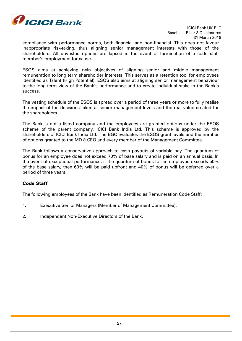

compliance with performance norms, both financial and non-financial. This does not favour inappropriate risk-taking, thus aligning senior management interests with those of the shareholders. All unvested options are lapsed in the event of termination of a code staff member's employment for cause.

ESOS aims at achieving twin objectives of aligning senior and middle management remuneration to long term shareholder interests. This serves as a retention tool for employees identified as Talent (High Potential). ESOS also aims at aligning senior management behaviour to the long-term view of the Bank's performance and to create individual stake in the Bank's success.

The vesting schedule of the ESOS is spread over a period of three years or more to fully realise the impact of the decisions taken at senior management levels and the real value created for the shareholders.

The Bank is not a listed company and the employees are granted options under the ESOS scheme of the parent company, ICICI Bank India Ltd. This scheme is approved by the shareholders of ICICI Bank India Ltd. The BGC evaluates the ESOS grant levels and the number of options granted to the MD & CEO and every member of the Management Committee.

The Bank follows a conservative approach to cash payouts of variable pay. The quantum of bonus for an employee does not exceed 70% of base salary and is paid on an annual basis. In the event of exceptional performance, if the quantum of bonus for an employee exceeds 50% of the base salary, then 60% will be paid upfront and 40% of bonus will be deferred over a period of three years.

# Code Staff

The following employees of the Bank have been identified as Remuneration Code Staff:

- 1. Executive Senior Managers (Member of Management Committee).
- 2. Independent Non-Executive Directors of the Bank.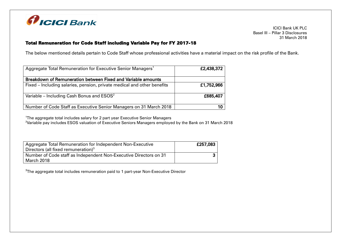

# Total Remuneration for Code Staff including Variable Pay for FY 2017-18

The below mentioned details pertain to Code Staff whose professional activities have a material impact on the risk profile of the Bank.

| Aggregate Total Remuneration for Executive Senior Managers <sup>1</sup> | £2,438,372 |
|-------------------------------------------------------------------------|------------|
| Breakdown of Remuneration between Fixed and Variable amounts            |            |
| Fixed - Including salaries, pension, private medical and other benefits | £1,752,966 |
| Variable – Including Cash Bonus and $ESOS2$                             | £685,407   |
| Number of Code Staff as Executive Senior Managers on 31 March 2018      |            |

<sup>1</sup>The aggregate total includes salary for 2 part year Executive Senior Managers

<sup>2</sup>Variable pay includes ESOS valuation of Executive Seniors Managers employed by the Bank on 31 March 2018

| Aggregate Total Remuneration for Independent Non-Executive<br>Directors (all fixed remuneration) $3$ | £257,083 |
|------------------------------------------------------------------------------------------------------|----------|
| Number of Code staff as Independent Non-Executive Directors on 31                                    |          |
| March 2018                                                                                           |          |

 ${\rm ^3}$ The aggregate total includes remuneration paid to 1 part-year Non-Executive Director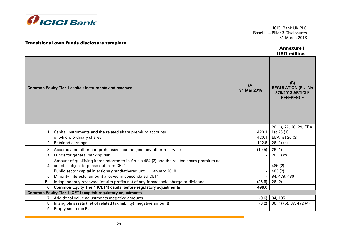

## Transitional own funds disclosure template

#### Annexure I USD million

|                | <b>Common Equity Tier 1 capital: instruments and reserves</b>                                                                        | (A)<br>31 Mar 2018 | (B)<br><b>REGULATION (EU) No</b><br>575/2013 ARTICLE<br><b>REFERENCE</b> |
|----------------|--------------------------------------------------------------------------------------------------------------------------------------|--------------------|--------------------------------------------------------------------------|
|                | Capital instruments and the related share premium accounts                                                                           | 420.1              | 26 (1), 27, 28, 29, EBA<br>list 26 (3)                                   |
|                | of which: ordinary shares                                                                                                            | 420.1              | EBA list 26 (3)                                                          |
| $\overline{2}$ | Retained earnings                                                                                                                    | 112.5              | 26(1)(c)                                                                 |
| 3              | Accumulated other comprehensive income (and any other reserves)                                                                      | (10.5)             | 26(1)                                                                    |
| 3a             | Funds for general banking risk                                                                                                       |                    | 26(1)(f)                                                                 |
| $\overline{4}$ | Amount of qualifying items referred to in Article 484 (3) and the related share premium ac-<br>counts subject to phase out from CET1 |                    | 486 (2)                                                                  |
|                | Public sector capital injections grandfathered until 1 January 2018                                                                  |                    | 483(2)                                                                   |
| 5              | Minority interests (amount allowed in consolidated CET1)                                                                             |                    | 84, 479, 480                                                             |
| 5a             | Independently reviewed interim profits net of any foreseeable charge or dividend                                                     | (25.5)             | 26(2)                                                                    |
| 6              | Common Equity Tier 1 (CET1) capital before regulatory adjustments                                                                    | 496.6              |                                                                          |
|                | Common Equity Tier 1 (CET1) capital: regulatory adjustments                                                                          |                    |                                                                          |
|                | Additional value adjustments (negative amount)                                                                                       | (0.6)              | 34, 105                                                                  |
| 8              | Intangible assets (net of related tax liability) (negative amount)                                                                   | (0.2)              | 36 (1) (b), 37, 472 (4)                                                  |
| 9              | Empty set in the EU                                                                                                                  |                    |                                                                          |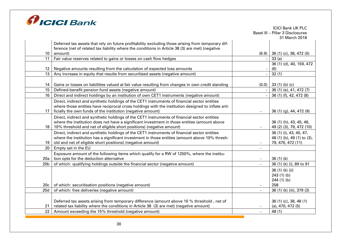

|                 |                                                                                                    |                          | <b>ICICI Bank UK PLC</b>         |
|-----------------|----------------------------------------------------------------------------------------------------|--------------------------|----------------------------------|
|                 |                                                                                                    |                          | Basel III - Pillar 3 Disclosures |
|                 |                                                                                                    |                          | 31 March 2018                    |
|                 | Deferred tax assets that rely on future profitability excluding those arising from temporary dif-  |                          |                                  |
|                 | ference (net of related tax liability where the conditions in Article 38 (3) are met) (negative    |                          |                                  |
| 10 <sup>°</sup> | amount)                                                                                            | (6.9)                    | 36 (1) (c), 38, 472 (5)          |
| 11              | Fair value reserves related to gains or losses on cash flow hedges                                 |                          | 33(a)                            |
|                 |                                                                                                    |                          | 36 (1) (d), 40, 159, 472         |
| 12              | Negative amounts resulting from the calculation of expected loss amounts                           |                          | (6)                              |
| 13              | Any increase in equity that results from securitised assets (negative amount)                      |                          | 32(1)                            |
|                 |                                                                                                    |                          |                                  |
| 14              | Gains or losses on liabilities valued at fair value resulting from changes in own credit standing  | (0.0)                    | 33 $(1)$ (b) (c)                 |
| 15              | Defined-benefit pension fund assets (negative amount)                                              |                          | 36 (1) (e), 41, 472 (7)          |
| 16              | Direct and indirect holdings by an institution of own CET1 instruments (negative amount)           |                          | 36 (1) (f), 42, 472 (8)          |
|                 | Direct, indirect and synthetic holdings of the CET1 instruments of financial sector entities       |                          |                                  |
|                 | where those entities have reciprocal cross holdings with the institution designed to inflate arti- |                          |                                  |
| 17              | ficially the own funds of the institution (negative amount)                                        | $\overline{\phantom{a}}$ | 36 (1) (g), 44, 472 (9)          |
|                 | Direct, indirect and synthetic holdings of the CET1 instruments of financial sector entities       |                          |                                  |
|                 | where the institution does not have a significant investment in those entities (amount above       |                          | 36 (1) (h), 43, 45, 46,          |
| 18              | 10% threshold and net of eligible short positions) (negative amount)                               |                          | 49 (2) (3), 79, 472 (10)         |
|                 | Direct, indirect and synthetic holdings of the CET1 instruments of financial sector entities       |                          | 36 (1) (i), 43, 45, 47,          |
|                 | where the institution has a significant investment in those entities (amount above 10% thresh-     |                          | 48 (1) (b), 49 (1) to (3),       |
| 19              | old and net of eligible short positions) (negative amount)                                         |                          | 79, 470, 472 (11)                |
| 20              | Empty set in the EU                                                                                |                          |                                  |
|                 | Exposure amount of the following items which qualify for a RW of 1250%, where the institu-         |                          |                                  |
| 20a             | tion opts for the deduction alternative                                                            |                          | 36(1)(k)                         |
| 20 <sub>b</sub> | of which: qualifying holdings outside the financial sector (negative amount)                       |                          | 36 (1) (k) (i), 89 to 91         |
|                 |                                                                                                    |                          | 36 (1) (k) (ii)                  |
|                 |                                                                                                    |                          | 243(1)(b)                        |
|                 |                                                                                                    |                          | $244(1)$ (b)                     |
| 20c             | of which: securitisation positions (negative amount)                                               | $\overline{\phantom{a}}$ | 258                              |
| 20d             | of which: free deliveries (negative amount)                                                        | $\sim$                   | 36 (1) (k) (iii), 379 (3)        |
|                 |                                                                                                    |                          |                                  |
|                 | Deferred tax assets arising from temporary difference (amount above 10 % threshold, net of         |                          | 36 (1) (c), 38, 48 (1)           |
| 21              | related tax liability where the conditions in Article 38 (3) are met) (negative amount)            |                          | $(a)$ , 470, 472 $(5)$           |
| 22              | Amount exceeding the 15% threshold (negative amount)                                               |                          | 48 (1)                           |
|                 |                                                                                                    |                          |                                  |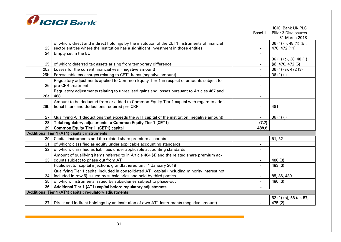

|                 |                                                                                                 |                          | <b>ICICI Bank UK PLC</b>         |
|-----------------|-------------------------------------------------------------------------------------------------|--------------------------|----------------------------------|
|                 |                                                                                                 |                          | Basel III - Pillar 3 Disclosures |
|                 |                                                                                                 |                          | 31 March 2018                    |
|                 | of which: direct and indirect holdings by the institution of the CET1 instruments of financial  |                          | 36 (1) (i), 48 (1) (b),          |
| 23              | sector entities where the institution has a significant investment in those entities            |                          | 470, 472 (11)                    |
| 24              | Empty set in the EU                                                                             |                          |                                  |
|                 |                                                                                                 |                          | 36 (1) (c), 38, 48 (1)           |
| 25              | of which: deferred tax assets arising from temporary difference                                 |                          | $(a)$ , 470, 472 $(5)$           |
| 25a             | Losses for the current financial year (negative amount)                                         | $\overline{\phantom{a}}$ | 36 (1) (a), 472 (3)              |
| 25 <sub>b</sub> | Foreseeable tax charges relating to CET1 items (negative amount)                                | $\overline{\phantom{0}}$ | 36(1)(1)                         |
|                 | Regulatory adjustments applied to Common Equity Tier 1 in respect of amounts subject to         |                          |                                  |
| 26              | pre-CRR treatment                                                                               |                          |                                  |
|                 | Regulatory adjustments relating to unrealised gains and losses pursuant to Articles 467 and     |                          |                                  |
| 26a             | 468                                                                                             |                          |                                  |
|                 | Amount to be deducted from or added to Common Equity Tier 1 capital with regard to addi-        |                          |                                  |
| 26b             | tional filters and deductions required pre CRR                                                  |                          | 481                              |
|                 |                                                                                                 |                          |                                  |
| 27              | Qualifying AT1 deductions that exceeds the AT1 capital of the institution (negative amount)     |                          | 36(1)(i)                         |
| 28              | Total regulatory adjustments to Common Equity Tier 1 (CET1)                                     | (7.7)                    |                                  |
| 29              | <b>Common Equity Tier 1 (CET1) capital</b>                                                      | 488.8                    |                                  |
|                 | Additional Tier 1 (AT1) capital: instruments                                                    |                          |                                  |
| 30 <sub>1</sub> | Capital instruments and the related share premium accounts                                      | $\blacksquare$           | 51,52                            |
| 31              | of which: classified as equity under applicable accounting standards                            | $\blacksquare$           |                                  |
| 32 <sup>2</sup> | of which: classified as liabilities under applicable accounting standards                       | $\blacksquare$           |                                  |
|                 | Amount of qualifying items referred to in Article 484 (4) and the related share premium ac-     |                          |                                  |
| 33              | counts subject to phase out from AT1                                                            |                          | 486 (3)                          |
|                 | Public sector capital injections grandfathered until 1 January 2018                             |                          | 483 (3)                          |
|                 | Qualifying Tier 1 capital included in consolidated AT1 capital (including minority interest not |                          |                                  |
| 34              | included in row 5) issued by subsidiaries and held by third parties                             | $\overline{\phantom{a}}$ | 85, 86, 480                      |
| 35 <sup>1</sup> | of which: instruments issued by subsidiaries subject to phase-out                               | $\overline{\phantom{0}}$ | 486 (3)                          |
|                 | 36 Additional Tier 1 (AT1) capital before regulatory adjustments                                |                          |                                  |
|                 | Additional Tier 1 (AT1) capital: regulatory adjustments                                         |                          |                                  |
|                 |                                                                                                 |                          | 52 (1) (b), 56 (a), 57,          |
| 37              | Direct and indirect holdings by an institution of own AT1 instruments (negative amount)         |                          | 475 (2)                          |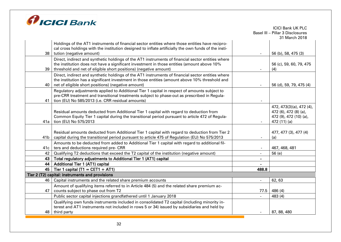

|                 |                                                                                                                                                                                                                                                                     |                          | <b>ICICI Bank UK PLC</b><br>Basel III - Pillar 3 Disclosures                                |
|-----------------|---------------------------------------------------------------------------------------------------------------------------------------------------------------------------------------------------------------------------------------------------------------------|--------------------------|---------------------------------------------------------------------------------------------|
|                 |                                                                                                                                                                                                                                                                     |                          | 31 March 2018                                                                               |
|                 | Holdings of the AT1 instruments of financial sector entities where those entities have recipro-<br>cal cross holdings with the institution designed to inflate artificially the own funds of the insti-                                                             |                          |                                                                                             |
| 38              | tution (negative amount)                                                                                                                                                                                                                                            |                          | 56 (b), 58, 475 (3)                                                                         |
| 39              | Direct, indirect and synthetic holdings of the AT1 instruments of financial sector entities where<br>the institution does not have a significant investment in those entities (amount above 10%<br>threshold and net of eligible short positions) (negative amount) |                          | 56 (c), 59, 60, 79, 475<br>(4)                                                              |
| 40              | Direct, indirect and synthetic holdings of the AT1 instruments of financial sector entities where<br>the institution has a significant investment in those entities (amount above 10% threshold and<br>net of eligible short positions) (negative amount)           |                          | 56 (d), 59, 79, 475 (4)                                                                     |
| 41              | Regulatory adjustments applied to Additional Tier 1 capital in respect of amounts subject to<br>pre-CRR treatment and transitional treatments subject to phase-out as prescribed in Regula-<br>tion (EU) No 585/2013 (i.e. CRR residual amounts)                    |                          |                                                                                             |
| 41a             | Residual amounts deducted from Additional Tier 1 capital with regard to deduction from<br>Common Equity Tier 1 capital during the transitional period pursuant to article 472 of Regula-<br>tion (EU) No 575/2013                                                   | $\overline{\phantom{a}}$ | 472, 473(3)(a), 472 (4),<br>472 (6), 472 (8) (a),<br>472 (9), 472 (10) (a),<br>472 (11) (a) |
| 41 <sub>b</sub> | Residual amounts deducted from Additional Tier 1 capital with regard to deduction from Tier 2<br>capital during the transitional period pursuant to article 475 of Regulation (EU) No 575/2013                                                                      |                          | 477, 477 (3), 477 (4)<br>(a)                                                                |
| 41c             | Amounts to be deducted from added to Additional Tier 1 capital with regard to additional fil-<br>ters and deductions required pre- CRR                                                                                                                              |                          | 467, 468, 481                                                                               |
| 42              | Qualifying T2 deductions that exceed the T2 capital of the institution (negative amount)                                                                                                                                                                            |                          | 56 (e)                                                                                      |
| 43              | Total regulatory adjustments to Additional Tier 1 (AT1) capital                                                                                                                                                                                                     | $\blacksquare$           |                                                                                             |
| 44              | <b>Additional Tier 1 (AT1) capital</b>                                                                                                                                                                                                                              |                          |                                                                                             |
| 45              | Tier 1 capital (T1 = CET1 + AT1)                                                                                                                                                                                                                                    | 488.8                    |                                                                                             |
|                 | Tier 2 (T2) capital: instruments and provisions                                                                                                                                                                                                                     |                          |                                                                                             |
| 46              | Capital instruments and the related share premium accounts                                                                                                                                                                                                          |                          | 62,63                                                                                       |
| 47              | Amount of qualifying items referred to in Article 484 (5) and the related share premium ac-<br>counts subject to phase out from T2                                                                                                                                  | 77.5                     | 486 (4)                                                                                     |
|                 | Public sector capital injections grandfathered until 1 January 2018                                                                                                                                                                                                 |                          | 483 (4)                                                                                     |
|                 | Qualifying own funds instruments included in consolidated T2 capital (including minority in-                                                                                                                                                                        |                          |                                                                                             |
|                 | terest and AT1 instruments not included in rows 5 or 34) issued by subsidiaries and held by                                                                                                                                                                         |                          |                                                                                             |
| 48.             | third party                                                                                                                                                                                                                                                         |                          | 87, 88, 480                                                                                 |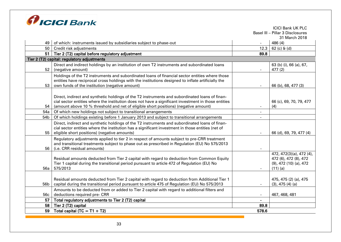

|                 |                                                                                                                                                                                            |       | <b>ICICI Bank UK PLC</b><br>Basel III - Pillar 3 Disclosures |
|-----------------|--------------------------------------------------------------------------------------------------------------------------------------------------------------------------------------------|-------|--------------------------------------------------------------|
|                 |                                                                                                                                                                                            |       | 31 March 2018                                                |
| 49              | of which: instruments issued by subsidiaries subject to phase-out                                                                                                                          |       | 486 (4)                                                      |
| 50              | Credit risk adjustments                                                                                                                                                                    | 12.3  | $62$ (c) $6$ (d)                                             |
| 51              | Tier 2 (T2) capital before regulatory adjustment                                                                                                                                           | 89.8  |                                                              |
|                 | Tier 2 (T2) capital: regulatory adjustments                                                                                                                                                |       |                                                              |
|                 | Direct and indirect holdings by an institution of own T2 instruments and subordinated loans                                                                                                |       | 63 (b) (i), 66 (a), 67,                                      |
| 52              | (negative amount)                                                                                                                                                                          |       | 477(2)                                                       |
|                 | Holdings of the T2 instruments and subordinated loans of financial sector entities where those                                                                                             |       |                                                              |
|                 | entities have reciprocal cross holdings with the institutions designed to inflate artificially the                                                                                         |       |                                                              |
| 53              | own funds of the institution (negative amount)                                                                                                                                             |       | 66 (b), 68, 477 (3)                                          |
|                 |                                                                                                                                                                                            |       |                                                              |
|                 | Direct, indirect and synthetic holdings of the T2 instruments and subordinated loans of finan-                                                                                             |       |                                                              |
| 54              | cial sector entities where the institution does not have a significant investment in those entities<br>(amount above 10 % threshold and net of eligible short positions) (negative amount) |       | 66 (c), 69, 70, 79, 477<br>(4)                               |
| 54a             | Of which new holdings not subject to transitional arrangements                                                                                                                             |       |                                                              |
| 54b             | Of which holdings existing before 1 January 2013 and subject to transitional arrangements                                                                                                  |       |                                                              |
|                 | Direct, indirect and synthetic holdings of the T2 instruments and subordinated loans of finan-                                                                                             |       |                                                              |
|                 | cial sector entities where the institution has a significant investment in those entities (net of                                                                                          |       |                                                              |
| 55              | eligible short positions) (negative amounts)                                                                                                                                               |       | 66 (d), 69, 79, 477 (4)                                      |
|                 | Regulatory adjustments applied to tier 2 in respect of amounts subject to pre-CRR treatment                                                                                                |       |                                                              |
|                 | and transitional treatments subject to phase out as prescribed in Regulation (EU) No 575/2013                                                                                              |       |                                                              |
| 56              | (i.e. CRR residual amounts)                                                                                                                                                                |       |                                                              |
|                 |                                                                                                                                                                                            |       | 472, 472(3)(a), 472(4),                                      |
|                 | Residual amounts deducted from Tier 2 capital with regard to deduction from Common Equity                                                                                                  |       | 472 (6), 472 (8), 472                                        |
| 56a             | Tier 1 capital during the transitional period pursuant to article 472 of Regulation (EU) No<br>575/2013                                                                                    |       | $(9)$ , 472 $(10)$ $(a)$ , 472<br>$(11)$ (a)                 |
|                 |                                                                                                                                                                                            |       |                                                              |
|                 | Residual amounts deducted from Tier 2 capital with regard to deduction from Additional Tier 1                                                                                              |       | 475, 475 (2) (a), 475                                        |
| 56 <sub>b</sub> | capital during the transitional period pursuant to article 475 of Regulation (EU) No 575/2013                                                                                              |       | (3), 475 (4) (a)                                             |
|                 | Amounts to be deducted from or added to Tier 2 capital with regard to additional filters and                                                                                               |       |                                                              |
| 56 <sub>c</sub> | deductions required pre- CRR                                                                                                                                                               |       | 467, 468, 481                                                |
| 57              | Total regulatory adjustments to Tier 2 (T2) capital                                                                                                                                        |       |                                                              |
| 58              | Tier 2 (T2) capital                                                                                                                                                                        | 89.8  |                                                              |
| 59              | Total capital (TC = $T1 + T2$ )                                                                                                                                                            | 578.6 |                                                              |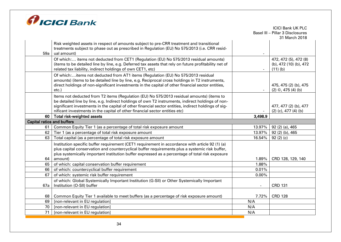

|                                   |                                                                                                                                                                                           |                                     | <b>ICICI Bank UK PLC</b><br>Basel III - Pillar 3 Disclosures |
|-----------------------------------|-------------------------------------------------------------------------------------------------------------------------------------------------------------------------------------------|-------------------------------------|--------------------------------------------------------------|
|                                   |                                                                                                                                                                                           |                                     | 31 March 2018                                                |
|                                   | Risk weighted assets in respect of amounts subject to pre-CRR treatment and transitional<br>treatments subject to phase out as prescribed in Regulation (EU) No 575/2013 (i.e. CRR resid- |                                     |                                                              |
| 59a                               | ual amount)                                                                                                                                                                               |                                     |                                                              |
|                                   | Of which: items not deducted from CET1 (Regulation (EU) No 575/2013 residual amounts)                                                                                                     |                                     | 472, 472 (5), 472 (8)                                        |
|                                   | (items to be detailed line by line, e.g. Deferred tax assets that rely on future profitability net of<br>related tax liability, indirect holdings of own CET1, etc)                       |                                     | (b), 472 (10) (b), 472<br>$(11)$ (b)                         |
|                                   | Of which:items not deducted from AT1 items (Regulation (EU) No 575/2013 residual                                                                                                          |                                     |                                                              |
|                                   | amounts) (items to be detailed line by line, e.g. Reciprocal cross holdings in T2 instruments,                                                                                            |                                     |                                                              |
|                                   | direct holdings of non-significant investments in the capital of other financial sector entities,<br>etc.)                                                                                |                                     | 475, 475 (2) (b), 475<br>$(2)$ ©, 475 (4) (b)                |
|                                   | Items not deducted from T2 items (Regulation (EU) No 575/2013 residual amounts) (items to                                                                                                 |                                     |                                                              |
|                                   | be detailed line by line, e.g. Indirect holdings of own T2 instruments, indirect holdings of non-                                                                                         |                                     |                                                              |
|                                   | significant investments in the capital of other financial sector entities, indirect holdings of sig-                                                                                      |                                     | 477, 477 (2) (b), 477                                        |
| 60                                | nificant investments in the capital of other financial sector entities etc)<br>Total risk-weighted assets                                                                                 | $\overline{\phantom{a}}$<br>3,498.9 | $(2)$ (c), 477 (4) (b)                                       |
| <b>Capital ratios and buffers</b> |                                                                                                                                                                                           |                                     |                                                              |
| 61                                | Common Equity Tier 1 (as a percentage of total risk exposure amount                                                                                                                       | 13.97%                              | 92 (2) (a), 465                                              |
| 62                                | Tier 1 (as a percentage of total risk exposure amount                                                                                                                                     | 13.97%                              | 92 (2) (b), 465                                              |
| 63                                | Total capital (as a percentage of total risk exposure amount                                                                                                                              | 16.54%                              | 92(2)(c)                                                     |
|                                   | Institution specific buffer requirement (CET1 requirement in accordance with article 92 (1) (a)                                                                                           |                                     |                                                              |
|                                   | plus capital conservation and countercyclical buffer requirements plus a systemic risk buffer,                                                                                            |                                     |                                                              |
|                                   | plus systemically important institution buffer expressed as a percentage of total risk exposure                                                                                           |                                     |                                                              |
| 64                                | amount)                                                                                                                                                                                   | 1.89%                               | CRD 128, 129, 140                                            |
| 65                                | of which: capital conservation buffer requirement                                                                                                                                         | 1.88%                               |                                                              |
| 66                                | of which: countercyclical buffer requirement                                                                                                                                              | 0.01%                               |                                                              |
| 67                                | of which: systemic risk buffer requirement                                                                                                                                                | $0.00\%$                            |                                                              |
|                                   | of which: Global Systemically Important Institution (G-SII) or Other Systemically Important                                                                                               |                                     |                                                              |
| 67a                               | Institution (O-SII) buffer                                                                                                                                                                | $\blacksquare$                      | <b>CRD 131</b>                                               |
| 68                                | Common Equity Tier 1 available to meet buffers (as a percentage of risk exposure amount)                                                                                                  | 7.72%                               | <b>CRD 128</b>                                               |
| 69                                | [non-relevant in EU regulation]                                                                                                                                                           | N/A                                 |                                                              |
| 70                                | [non-relevant in EU regulation]                                                                                                                                                           | N/A                                 |                                                              |
| 71                                | [non-relevant in EU regulation]                                                                                                                                                           | N/A                                 |                                                              |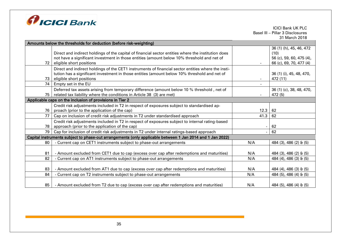

| Amounts below the thresholds for deduction (before risk-weighting) |                                                                                                                                                                                                                                |      |                                                                                        |  |  |  |  |  |  |
|--------------------------------------------------------------------|--------------------------------------------------------------------------------------------------------------------------------------------------------------------------------------------------------------------------------|------|----------------------------------------------------------------------------------------|--|--|--|--|--|--|
| 72                                                                 | Direct and indirect holdings of the capital of financial sector entities where the institution does<br>not have a significant investment in those entities (amount below 10% threshold and net of<br>eligible short positions  |      | 36 (1) (h), 45, 46, 472<br>(10)<br>56 (c), 59, 60, 475 (4),<br>66 (c), 69, 70, 477 (4) |  |  |  |  |  |  |
| 73                                                                 | Direct and indirect holdings of the CET1 instruments of financial sector entities where the insti-<br>tution has a significant investment in those entities (amount below 10% threshold and net of<br>eligible short positions |      | 36 (1) (i), 45, 48, 470,<br>472 (11)                                                   |  |  |  |  |  |  |
| 74                                                                 | Empty set in the EU                                                                                                                                                                                                            |      |                                                                                        |  |  |  |  |  |  |
| 75                                                                 | Deferred tax assets arising from temporary difference (amount below 10 % threshold, net of<br>related tax liability where the conditions in Article 38 (3) are met)                                                            |      | 36 (1) (c), 38, 48, 470,<br>472 (5)                                                    |  |  |  |  |  |  |
|                                                                    | Applicable caps on the inclusion of provisions in Tier 2                                                                                                                                                                       |      |                                                                                        |  |  |  |  |  |  |
| 76                                                                 | Credit risk adjustments included in T2 in respect of exposures subject to standardised ap-<br>proach (prior to the application of the cap)                                                                                     | 12.3 | 62                                                                                     |  |  |  |  |  |  |
| 77                                                                 | Cap on inclusion of credit risk adjustments in T2 under standardised approach                                                                                                                                                  | 41.3 | 62                                                                                     |  |  |  |  |  |  |
| 78                                                                 | Credit risk adjustments included in T2 in respect of exposures subject to internal rating-based<br>approach (prior to the application of the cap)                                                                              |      | 62                                                                                     |  |  |  |  |  |  |
| 79                                                                 | Cap for inclusion of credit risk adjustments in T2 under internal ratings-based approach                                                                                                                                       |      | 62                                                                                     |  |  |  |  |  |  |
|                                                                    | Capital instruments subject to phase-out arrangements (only applicable between 1 Jan 2014 and 1 Jan 2022)                                                                                                                      |      |                                                                                        |  |  |  |  |  |  |
| 80                                                                 | - Current cap on CET1 instruments subject to phase-out arrangements                                                                                                                                                            | N/A  | 484 (3), 486 (2) & (5)                                                                 |  |  |  |  |  |  |
| 81                                                                 | - Amount excluded from CET1 due to cap (excess over cap after redemptions and maturities)                                                                                                                                      | N/A  | 484 (3), 486 (2) & (5)                                                                 |  |  |  |  |  |  |
| 82                                                                 | - Current cap on AT1 instruments subject to phase-out arrangements                                                                                                                                                             | N/A  | 484 (4), 486 (3) & (5)                                                                 |  |  |  |  |  |  |
| 83                                                                 | - Amount excluded from AT1 due to cap (excess over cap after redemptions and maturities)                                                                                                                                       | N/A  | 484 (4), 486 (3) & (5)                                                                 |  |  |  |  |  |  |
| 84                                                                 | - Current cap on T2 instruments subject to phase-out arrangements                                                                                                                                                              | N/A  | 484 (5), 486 (4) & (5)                                                                 |  |  |  |  |  |  |
| 85                                                                 | - Amount excluded from T2 due to cap (excess over cap after redemptions and maturities)                                                                                                                                        | N/A  | 484 (5), 486 (4) & (5)                                                                 |  |  |  |  |  |  |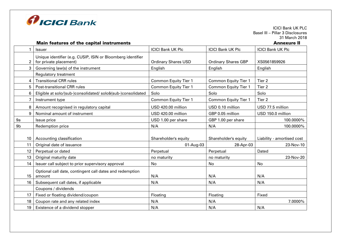

ICICI Bank UK PLC Basel III – Pillar 3 Disclosures 31 March 2018<br>**Annexure II** 

#### Main features of the capital instruments

|                 | <b>Issuer</b>                                                                         | <b>ICICI Bank UK Plc</b>    | <b>ICICI Bank UK Plc</b>    | <b>ICICI Bank UK Plc</b>   |
|-----------------|---------------------------------------------------------------------------------------|-----------------------------|-----------------------------|----------------------------|
| $\overline{2}$  | Unique identifier (e.g. CUSIP, ISIN or Bloomberg identifier<br>for private placement) | <b>Ordinary Shares USD</b>  | <b>Ordinary Shares GBP</b>  | XS0561859926               |
| 3               | Governing law(s) of the instrument                                                    | English                     | English                     | English                    |
|                 | Regulatory treatment                                                                  |                             |                             |                            |
| 4               | <b>Transitional CRR rules</b>                                                         | <b>Common Equity Tier 1</b> | <b>Common Equity Tier 1</b> | Tier 2                     |
| 5               | <b>Post-transitional CRR rules</b>                                                    | <b>Common Equity Tier 1</b> | <b>Common Equity Tier 1</b> | Tier <sub>2</sub>          |
| 6               | Eligible at solo/(sub-)consolidated/ solo&(sub-)consolidated                          | Solo                        | Solo                        | Solo                       |
| 7               | Instrument type                                                                       | <b>Common Equity Tier 1</b> | <b>Common Equity Tier 1</b> | Tier 2                     |
| 8               | Amount recognised in regulatory capital                                               | USD 420.00 million          | USD 0.10 million            | USD 77.5 million           |
| 9               | Nominal amount of instrument                                                          | USD 420.00 million          | GBP 0.05 million            | USD 150.0 million          |
| 9a              | Issue price                                                                           | USD 1.00 per share          | GBP 1.00 per share          | 100.0000%                  |
| 9 <sub>b</sub>  | Redemption price                                                                      | N/A                         | N/A                         | 100.0000%                  |
| 10              | Accounting classification                                                             | Shareholder's equity        | Shareholder's equity        | Liability - amortised cost |
| 11              | Original date of issuance                                                             | 01-Aug-03                   | 28-Apr-03                   | 23-Nov-10                  |
| 12              | Perpetual or dated                                                                    | Perpetual                   | Perpetual                   | Dated                      |
| 13 <sup>°</sup> | Original maturity date                                                                | no maturity                 | no maturity                 | 23-Nov-20                  |
| 14              | Issuer call subject to prior supervisory approval                                     | No                          | No                          | No                         |
| 15              | Optional call date, contingent call dates and redemption<br>amount                    | N/A                         | N/A                         | N/A                        |
| 16              | Subsequent call dates, if applicable                                                  | N/A                         | N/A                         | N/A                        |
|                 | Coupons / dividends                                                                   |                             |                             |                            |
| 17              | Fixed or floating dividend/coupon                                                     | Floating                    | Floating                    | Fixed                      |
| 18              | Coupon rate and any related index                                                     | N/A                         | N/A                         | 7.0000%                    |
| 19              | Existence of a dividend stopper                                                       | N/A                         | N/A                         | N/A                        |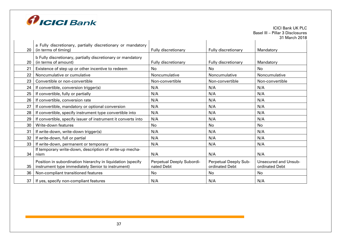

| 20                | a Fully discretionary, partially discretionary or mandatory<br>(in terms of timing)                              | Fully discretionary                     | Fully discretionary                     | Mandatory                              |
|-------------------|------------------------------------------------------------------------------------------------------------------|-----------------------------------------|-----------------------------------------|----------------------------------------|
| 20                | b Fully discretionary, partially discretionary or mandatory<br>(in terms of amount)                              | Fully discretionary                     | Fully discretionary                     | Mandatory                              |
| 21                | Existence of step up or other incentive to redeem                                                                | No                                      | No                                      | No                                     |
| $22 \overline{ }$ | Noncumulative or cumulative                                                                                      | Noncumulative                           | Noncumulative                           | Noncumulative                          |
| 23                | Convertible or non-convertible                                                                                   | Non-convertible                         | Non-convertible                         | Non-convertible                        |
| 24                | If convertible, conversion trigger(s)                                                                            | N/A                                     | N/A                                     | N/A                                    |
| 25                | If convertible, fully or partially                                                                               | N/A                                     | N/A                                     | N/A                                    |
| 26                | If convertible, conversion rate                                                                                  | N/A                                     | N/A                                     | N/A                                    |
| 27                | If convertible, mandatory or optional conversion                                                                 | N/A                                     | N/A                                     | N/A                                    |
| 28                | If convertible, specify instrument type convertible into                                                         | N/A                                     | N/A                                     | N/A                                    |
| 29                | If convertible, specify issuer of instrument it converts into                                                    | N/A                                     | N/A                                     | N/A                                    |
| 30                | Write-down features                                                                                              | No                                      | No.                                     | No                                     |
| 31                | If write-down, write-down trigger(s)                                                                             | N/A                                     | N/A                                     | N/A                                    |
| 32                | If write-down, full or partial                                                                                   | N/A                                     | N/A                                     | N/A                                    |
| 33                | If write-down, permanent or temporary                                                                            | N/A                                     | N/A                                     | N/A                                    |
| 34                | If temporary write-down, description of write-up mecha-<br>nism                                                  | N/A                                     | N/A                                     | N/A                                    |
| 35                | Position in subordination hierarchy in liquidation (specify<br>instrument type immediately Senior to instrument) | Perpetual Deeply Subordi-<br>nated Debt | Perpetual Deeply Sub-<br>ordinated Debt | Unsecured and Unsub-<br>ordinated Debt |
| 36                | Non-compliant transitioned features                                                                              | No                                      | No                                      | No                                     |
| 37                | If yes, specify non-compliant features                                                                           | N/A                                     | N/A                                     | N/A                                    |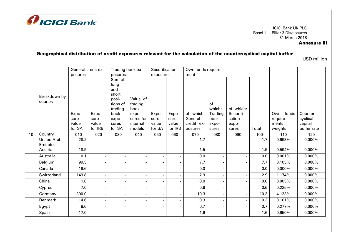

## Annexure III

# Geographical distribution of credit exposures relevant for the calculation of the countercyclical capital buffer

USD million

|    |                    | General credit ex- |                          | Trading book ex-         |                    | Securitisation           |                          | Own funds require-    |                          |           |       |           |                        |
|----|--------------------|--------------------|--------------------------|--------------------------|--------------------|--------------------------|--------------------------|-----------------------|--------------------------|-----------|-------|-----------|------------------------|
|    |                    | posures            |                          | posures                  |                    | exposures                |                          | ment                  |                          |           |       |           |                        |
|    |                    |                    |                          | Sum of                   |                    |                          |                          |                       |                          |           |       |           |                        |
|    |                    |                    |                          | long                     |                    |                          |                          |                       |                          |           |       |           |                        |
|    |                    |                    |                          | and                      |                    |                          |                          |                       |                          |           |       |           |                        |
|    | Breakdown by       |                    |                          | short                    |                    |                          |                          |                       |                          |           |       |           |                        |
|    | country:           |                    |                          | posi-                    | Value of           |                          |                          |                       |                          |           |       |           |                        |
|    |                    |                    |                          | tions of                 | trading            |                          |                          |                       | of                       |           |       |           |                        |
|    |                    |                    |                          | trading                  | book               |                          |                          |                       | which:                   | of which: |       |           |                        |
|    |                    | Expo-              | Expo-                    | book                     | expo-              | Expo-                    | Expo-                    | of which:             | Trading                  | Securiti- |       | Own funds | Counter-               |
|    |                    | sure<br>value      | sure<br>value            | expo-                    | sures for          | sure<br>value            | sure                     | General<br>credit ex- | book                     | sation    |       | require-  | cyclical               |
|    |                    | for SA             | for IRB                  | sures<br>for SA          | internal<br>models | for SA                   | value<br>for IRB         |                       | expo-                    | expo-     | Total | ments     | capital<br>buffer rate |
|    |                    |                    |                          |                          |                    |                          |                          | posures               | sures                    | sures     |       | weights   |                        |
| 10 | Country            | 010                | 020                      | 030                      | 040                | 050                      | 060                      | 070                   | 080                      | 090       | 100   | 110       | 120                    |
|    | <b>United Arab</b> | 28.2               | $\blacksquare$           | $\overline{\phantom{0}}$ |                    | $\blacksquare$           |                          | 1.7                   | $\sim$                   |           | 1.7   | 0.698%    | $0.000\%$              |
|    | Emirates           |                    |                          |                          |                    |                          |                          |                       |                          |           |       |           |                        |
|    | Austria            | 18.5               | $\blacksquare$           | $\overline{\phantom{a}}$ |                    | $\sim$                   | $\blacksquare$           | 1.5                   | $\overline{\phantom{a}}$ |           | 1.5   | 0.594%    | $0.000\%$              |
|    | Australia          | 0.1                | $\blacksquare$           | $\overline{\phantom{a}}$ |                    | $\blacksquare$           | $\overline{\phantom{a}}$ | 0.0                   | $\sim$                   |           | 0.0   | 0.001%    | $0.000\%$              |
|    | Belgium            | 99.5               | $\overline{\phantom{a}}$ | $\overline{\phantom{a}}$ |                    | $\sim$                   |                          | 7.7                   |                          |           | 7.7   | 3.105%    | $0.000\%$              |
|    | Canada             | 19.6               | $\blacksquare$           | $\blacksquare$           |                    | $\sim$                   | $\blacksquare$           | 0.0                   |                          |           | 0.0   | $0.000\%$ | $0.000\%$              |
|    | Switzerland        | 149.8              | $\blacksquare$           | $\overline{\phantom{a}}$ |                    | $\blacksquare$           |                          | 2.9                   |                          |           | 2.9   | 1.174%    | $0.000\%$              |
|    | China              | 1.8                | $\blacksquare$           | $\overline{a}$           |                    | $\blacksquare$           |                          | 0.0                   |                          |           | 0.0   | 0.005%    | $0.000\%$              |
|    | Cyprus             | 7.0                | $\overline{\phantom{0}}$ | $\overline{a}$           |                    | $\overline{\phantom{a}}$ |                          | 0.6                   | $\overline{\phantom{a}}$ |           | 0.6   | 0.225%    | $0.000\%$              |
|    | Germany            | 300.0              | $\blacksquare$           | $\overline{\phantom{a}}$ | $\blacksquare$     | $\overline{\phantom{a}}$ |                          | 10.3                  |                          |           | 10.3  | 4.133%    | $0.000\%$              |
|    | Denmark            | 14.6               | $\overline{\phantom{a}}$ | $\overline{\phantom{a}}$ |                    | $\blacksquare$           | $\overline{a}$           | 0.3                   | $\sim$                   |           | 0.3   | 0.101%    | $0.000\%$              |
|    | Egypt              | 8.6                | $\blacksquare$           | $\overline{\phantom{a}}$ |                    | $\sim$                   | $\overline{\phantom{a}}$ | 0.7                   | $\overline{\phantom{a}}$ |           | 0.7   | 0.277%    | $0.000\%$              |
|    | Spain              | 17.0               | $\blacksquare$           | $\overline{\phantom{a}}$ | $\blacksquare$     | $\sim$                   | $\overline{a}$           | 1.6                   | $\sim$                   |           | 1.6   | 0.650%    | $0.000\%$              |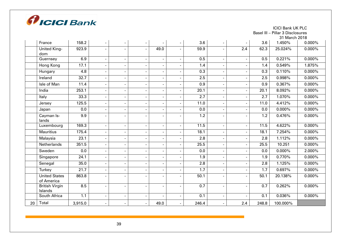

ICICI Bank UK PLC

Basel III – Pillar 3 Disclosures

|    |                                    |         |                          |                          |                          |                          |                          |                   |                          |     |       | 31 March 2018 |           |
|----|------------------------------------|---------|--------------------------|--------------------------|--------------------------|--------------------------|--------------------------|-------------------|--------------------------|-----|-------|---------------|-----------|
|    | France                             | 158.2   |                          | $\overline{\phantom{a}}$ | $\overline{\phantom{a}}$ | $\overline{\phantom{a}}$ | $\overline{\phantom{a}}$ | 3.6               | $\overline{\phantom{a}}$ |     | 3.6   | 1.450%        | $0.000\%$ |
|    | United King-<br>dom                | 923.9   |                          |                          | $\overline{a}$           | 49.0                     |                          | 59.9              | $\blacksquare$           | 2.4 | 62.3  | 25.024%       | $0.000\%$ |
|    | Guernsey                           | 6.9     |                          |                          |                          | $\overline{\phantom{a}}$ |                          | 0.5               | $\sim$                   |     | 0.5   | 0.221%        | 0.000%    |
|    | Hong Kong                          | 17.1    |                          |                          | $\overline{\phantom{a}}$ | $\overline{\phantom{a}}$ |                          | 1.4               | $\overline{\phantom{0}}$ |     | 1.4   | 0.549%        | 1.875%    |
|    | Hungary                            | 4.8     |                          |                          |                          | $\overline{\phantom{a}}$ |                          | 0.3               | $\blacksquare$           |     | 0.3   | 0.110%        | $0.000\%$ |
|    | Ireland                            | 32.7    |                          | $\blacksquare$           | $\overline{\phantom{a}}$ | $\overline{\phantom{a}}$ |                          | 2.5               | $\blacksquare$           |     | 2.5   | 0.998%        | $0.000\%$ |
|    | Isle of Man                        | 11.4    |                          |                          | $\overline{a}$           | $\overline{\phantom{m}}$ |                          | 0.9               | $\sim$                   |     | 0.9   | 0.367%        | $0.000\%$ |
|    | India                              | 253.1   |                          |                          | $\blacksquare$           | $\overline{\phantom{a}}$ |                          | 20.1              | $\blacksquare$           |     | 20.1  | 8.092%        | 0.000%    |
|    | Italy                              | 33.3    |                          |                          | ÷,                       | $\overline{\phantom{a}}$ |                          | 2.7               | $\overline{\phantom{a}}$ |     | 2.7   | 1.070%        | $0.000\%$ |
|    | Jersey                             | 125.5   |                          |                          | $\overline{\phantom{a}}$ | $\blacksquare$           |                          | 11.0              | $\sim$                   |     | 11.0  | 4.412%        | $0.000\%$ |
|    | Japan                              | 0.0     | $\blacksquare$           |                          | $\overline{\phantom{a}}$ | $\overline{\phantom{a}}$ |                          | 0.0               | $\overline{\phantom{a}}$ |     | 0.0   | $0.000\%$     | $0.000\%$ |
|    | Cayman Is-<br>lands                | 9.9     |                          |                          |                          | $\overline{\phantom{a}}$ |                          | 1.2               | ٠                        |     | 1.2   | 0.476%        | $0.000\%$ |
|    | Luxembourg                         | 169.3   |                          | $\blacksquare$           | $\blacksquare$           | $\blacksquare$           | $\overline{a}$           | 11.5              | $\blacksquare$           |     | 11.5  | 4.622%        | 0.000%    |
|    | <b>Mauritius</b>                   | 175.4   | $\blacksquare$           |                          | $\overline{a}$           | $\overline{\phantom{a}}$ |                          | $\overline{18.1}$ | $\overline{\phantom{a}}$ |     | 18.1  | 7.254%        | $0.000\%$ |
|    | Malaysia                           | 23.1    |                          |                          |                          | ٠                        |                          | 2.8               | ۰                        |     | 2.8   | 1.112%        | $0.000\%$ |
|    | Netherlands                        | 351.5   |                          |                          | $\overline{a}$           | $\overline{\phantom{a}}$ |                          | 25.5              | $\overline{\phantom{a}}$ |     | 25.5  | 10.251        | 0.000%    |
|    | Sweden                             | 0.0     |                          |                          | $\overline{a}$           | $\overline{\phantom{m}}$ |                          | 0.0               | $\blacksquare$           |     | 0.0   | $0.000\%$     | 2.000%    |
|    | Singapore                          | 24.1    |                          |                          | $\overline{\phantom{a}}$ | $\overline{\phantom{m}}$ |                          | 1.9               | $\overline{\phantom{a}}$ |     | 1.9   | 0.770%        | $0.000\%$ |
|    | Senegal                            | 35.0    | $\overline{\phantom{a}}$ |                          | $\overline{a}$           | $\overline{\phantom{a}}$ |                          | 2.8               | $\overline{\phantom{a}}$ |     | 2.8   | 1.125%        | $0.000\%$ |
|    | Turkey                             | 21.7    |                          |                          |                          | $\blacksquare$           |                          | 1.7               | ۰                        |     | 1.7   | 0.697%        | $0.000\%$ |
|    | <b>United States</b><br>of America | 863.8   |                          |                          |                          | $\overline{\phantom{a}}$ |                          | 50.1              | $\overline{a}$           |     | 50.1  | 20.138%       | $0.000\%$ |
|    | <b>British Virgin</b><br>Islands   | 8.5     |                          |                          | $\overline{\phantom{a}}$ | $\overline{\phantom{a}}$ |                          | 0.7               | $\overline{\phantom{a}}$ |     | 0.7   | 0.262%        | $0.000\%$ |
|    | South Africa                       | 1.1     |                          |                          | L,                       | $\overline{\phantom{a}}$ |                          | 0.1               | $\blacksquare$           |     | 0.1   | 0.036%        | $0.000\%$ |
| 20 | Total                              | 3,915.0 | $\blacksquare$           |                          | $\overline{\phantom{a}}$ | 49.0                     | $\blacksquare$           | 246.4             | $\sim$                   | 2.4 | 248.8 | 100.000%      |           |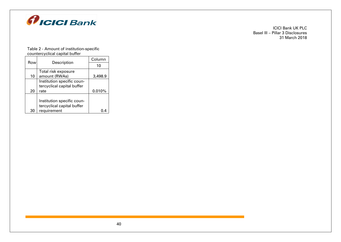

#### Table 2 - Amount of institution-specific countercyclical capital buffer

| Row | Description                | Column  |
|-----|----------------------------|---------|
|     |                            | 10      |
|     | Total risk exposure        |         |
| 10  | amount (RWAs)              | 3,498.9 |
|     | Institution specific coun- |         |
|     | tercyclical capital buffer |         |
| 20  | rate                       | 0.010%  |
|     |                            |         |
|     | Institution specific coun- |         |
|     | tercyclical capital buffer |         |
| 30  | requirement                |         |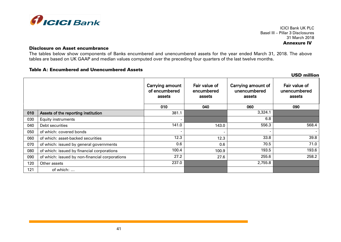

ICICI Bank UK PLC Basel III – Pillar 3 Disclosures 31 March 2018 Annexure IV

#### Disclosure on Asset encumbrance

The tables below show components of Banks encumbered and unencumbered assets for the year ended March 31, 2018. The above tables are based on UK GAAP and median values computed over the preceding four quarters of the last twelve months.

## Table A: Encumbered and Unencumbered Assets

|     |                                                |                                                   |                                       |                                              | <b>USD million</b>                      |
|-----|------------------------------------------------|---------------------------------------------------|---------------------------------------|----------------------------------------------|-----------------------------------------|
|     |                                                | <b>Carrying amount</b><br>of encumbered<br>assets | Fair value of<br>encumbered<br>assets | Carrying amount of<br>unencumbered<br>assets | Fair value of<br>unencumbered<br>assets |
|     |                                                | 010                                               | 040                                   | 060                                          | 090                                     |
| 010 | Assets of the reporting institution            | 381.1                                             |                                       | 3,324.1                                      |                                         |
| 030 | <b>Equity instruments</b>                      | ٠                                                 |                                       | 6.8                                          |                                         |
| 040 | Debt securities                                | 141.0                                             | 143.0                                 | 556.3                                        | 568.4                                   |
| 050 | of which: covered bonds                        |                                                   |                                       | $\overline{\phantom{0}}$                     | $\overline{\phantom{a}}$                |
| 060 | of which: asset-backed securities              | 12.3                                              | 12.3                                  | 33.8                                         | 39.8                                    |
| 070 | of which: issued by general governments        | 0.6                                               | 0.6                                   | 70.5                                         | 71.0                                    |
| 080 | of which: issued by financial corporations     | 100.4                                             | 100.9                                 | 193.5                                        | 193.6                                   |
| 090 | of which: issued by non-financial corporations | 27.2                                              | 27.6                                  | 255.6                                        | 258.2                                   |
| 120 | Other assets                                   | 237.0                                             |                                       | 2,755.8                                      |                                         |
| 121 | of which:                                      |                                                   |                                       |                                              |                                         |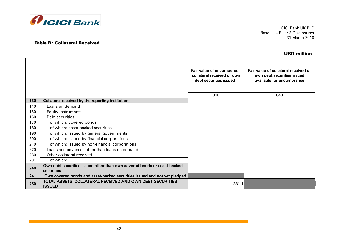

# Table B: Collateral Received

ICICI Bank UK PLC Basel III – Pillar 3 Disclosures 31 March 2018

## USD million

|     |                                                                                       | Fair value of encumbered<br>collateral received or own<br>debt securities issued<br>010 | Fair value of collateral received or<br>own debt securities issued<br>available for encumbrance<br>040 |
|-----|---------------------------------------------------------------------------------------|-----------------------------------------------------------------------------------------|--------------------------------------------------------------------------------------------------------|
| 130 | Collateral received by the reporting institution                                      |                                                                                         |                                                                                                        |
| 140 | Loans on demand                                                                       |                                                                                         |                                                                                                        |
| 150 | <b>Equity instruments</b>                                                             |                                                                                         |                                                                                                        |
| 160 | Debt securities :                                                                     |                                                                                         |                                                                                                        |
| 170 | of which: covered bonds                                                               |                                                                                         |                                                                                                        |
| 180 | of which: asset-backed securities                                                     |                                                                                         |                                                                                                        |
| 190 | of which: issued by general governments                                               |                                                                                         |                                                                                                        |
| 200 | of which: issued by financial corporations                                            |                                                                                         |                                                                                                        |
| 210 | of which: issued by non-financial corporations                                        |                                                                                         |                                                                                                        |
| 220 | Loans and advances other than loans on demand                                         |                                                                                         |                                                                                                        |
| 230 | Other collateral received                                                             |                                                                                         |                                                                                                        |
| 231 | of which:                                                                             |                                                                                         |                                                                                                        |
| 240 | Own debt securities issued other than own covered bonds or asset-backed<br>securities |                                                                                         |                                                                                                        |
| 241 | Own covered bonds and asset-backed securities issued and not yet pledged              |                                                                                         |                                                                                                        |
| 250 | TOTAL ASSETS, COLLATERAL RECEIVED AND OWN DEBT SECURITIES<br><b>ISSUED</b>            | 381.1                                                                                   |                                                                                                        |